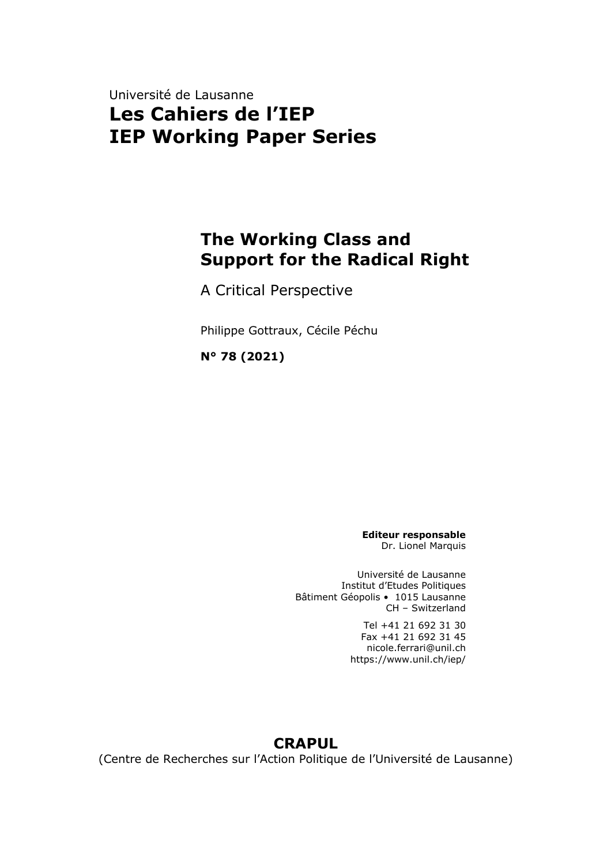# Université de Lausanne **Les Cahiers de l'IEP IEP Working Paper Series**

# **The Working Class and Support for the Radical Right**

A Critical Perspective

Philippe Gottraux, Cécile Péchu

**N° 78 (2021)** 

**Editeur responsable** Dr. Lionel Marquis

Université de Lausanne Institut d'Etudes Politiques Bâtiment Géopolis • 1015 Lausanne CH – Switzerland

> Tel +41 21 692 31 30 Fax +41 21 692 31 45 nicole.ferrari@unil.ch https://www.unil.ch/iep/

# **CRAPUL**

(Centre de Recherches sur l'Action Politique de l'Université de Lausanne)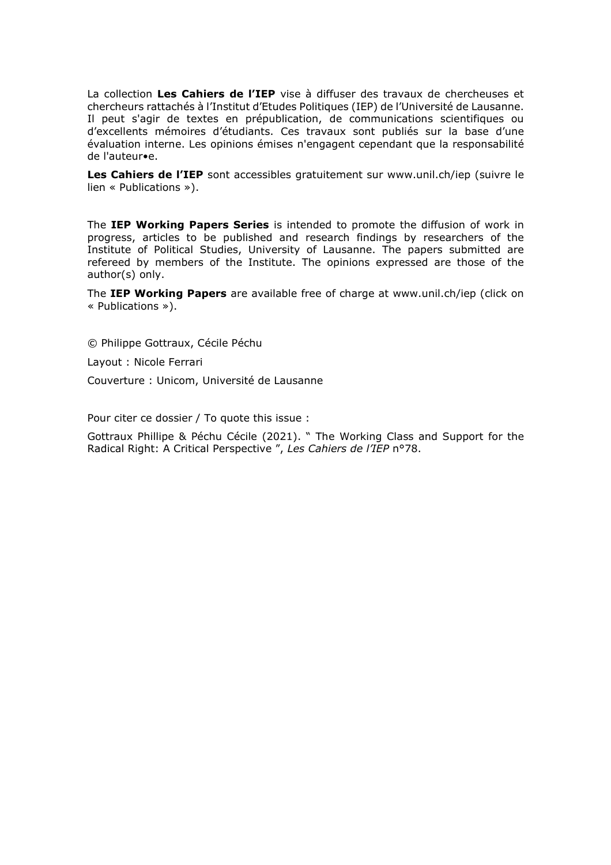La collection **Les Cahiers de l'IEP** vise à diffuser des travaux de chercheuses et chercheurs rattachés à l'Institut d'Etudes Politiques (IEP) de l'Université de Lausanne. Il peut s'agir de textes en prépublication, de communications scientifiques ou d'excellents mémoires d'étudiants. Ces travaux sont publiés sur la base d'une évaluation interne. Les opinions émises n'engagent cependant que la responsabilité de l'auteur•e.

**Les Cahiers de l'IEP** sont accessibles gratuitement sur www.unil.ch/iep (suivre le lien « Publications »).

The **IEP Working Papers Series** is intended to promote the diffusion of work in progress, articles to be published and research findings by researchers of the Institute of Political Studies, University of Lausanne. The papers submitted are refereed by members of the Institute. The opinions expressed are those of the author(s) only.

The **IEP Working Papers** are available free of charge at www.unil.ch/iep (click on « Publications »).

© Philippe Gottraux, Cécile Péchu

Layout : Nicole Ferrari

Couverture : Unicom, Université de Lausanne

Pour citer ce dossier / To quote this issue :

Gottraux Phillipe & Péchu Cécile (2021). " The Working Class and Support for the Radical Right: A Critical Perspective ", *Les Cahiers de l'IEP* n°78.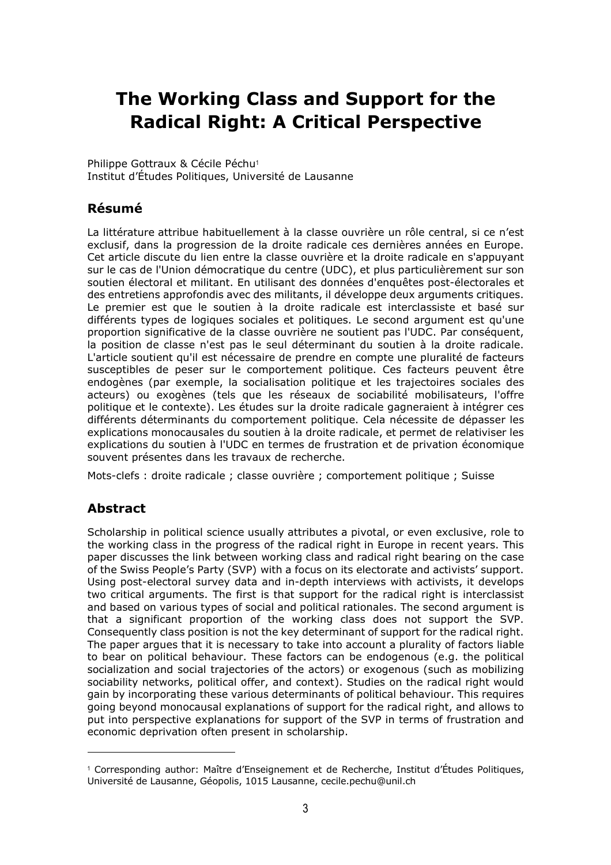# **The Working Class and Support for the Radical Right: A Critical Perspective**

Philippe Gottraux & Cécile Péchu<sup>1</sup> Institut d'Études Politiques, Université de Lausanne

### **Résumé**

La littérature attribue habituellement à la classe ouvrière un rôle central, si ce n'est exclusif, dans la progression de la droite radicale ces dernières années en Europe. Cet article discute du lien entre la classe ouvrière et la droite radicale en s'appuyant sur le cas de l'Union démocratique du centre (UDC), et plus particulièrement sur son soutien électoral et militant. En utilisant des données d'enquêtes post-électorales et des entretiens approfondis avec des militants, il développe deux arguments critiques. Le premier est que le soutien à la droite radicale est interclassiste et basé sur différents types de logiques sociales et politiques. Le second argument est qu'une proportion significative de la classe ouvrière ne soutient pas l'UDC. Par conséquent, la position de classe n'est pas le seul déterminant du soutien à la droite radicale. L'article soutient qu'il est nécessaire de prendre en compte une pluralité de facteurs susceptibles de peser sur le comportement politique. Ces facteurs peuvent être endogènes (par exemple, la socialisation politique et les trajectoires sociales des acteurs) ou exogènes (tels que les réseaux de sociabilité mobilisateurs, l'offre politique et le contexte). Les études sur la droite radicale gagneraient à intégrer ces différents déterminants du comportement politique. Cela nécessite de dépasser les explications monocausales du soutien à la droite radicale, et permet de relativiser les explications du soutien à l'UDC en termes de frustration et de privation économique souvent présentes dans les travaux de recherche.

Mots-clefs : droite radicale ; classe ouvrière ; comportement politique ; Suisse

#### **Abstract**

Scholarship in political science usually attributes a pivotal, or even exclusive, role to the working class in the progress of the radical right in Europe in recent years. This paper discusses the link between working class and radical right bearing on the case of the Swiss People's Party (SVP) with a focus on its electorate and activists' support. Using post-electoral survey data and in-depth interviews with activists, it develops two critical arguments. The first is that support for the radical right is interclassist and based on various types of social and political rationales. The second argument is that a significant proportion of the working class does not support the SVP. Consequently class position is not the key determinant of support for the radical right. The paper argues that it is necessary to take into account a plurality of factors liable to bear on political behaviour. These factors can be endogenous (e.g. the political socialization and social trajectories of the actors) or exogenous (such as mobilizing sociability networks, political offer, and context). Studies on the radical right would gain by incorporating these various determinants of political behaviour. This requires going beyond monocausal explanations of support for the radical right, and allows to put into perspective explanations for support of the SVP in terms of frustration and economic deprivation often present in scholarship.

<sup>1</sup> Corresponding author: Maître d'Enseignement et de Recherche, Institut d'Études Politiques, Université de Lausanne, Géopolis, 1015 Lausanne, cecile.pechu@unil.ch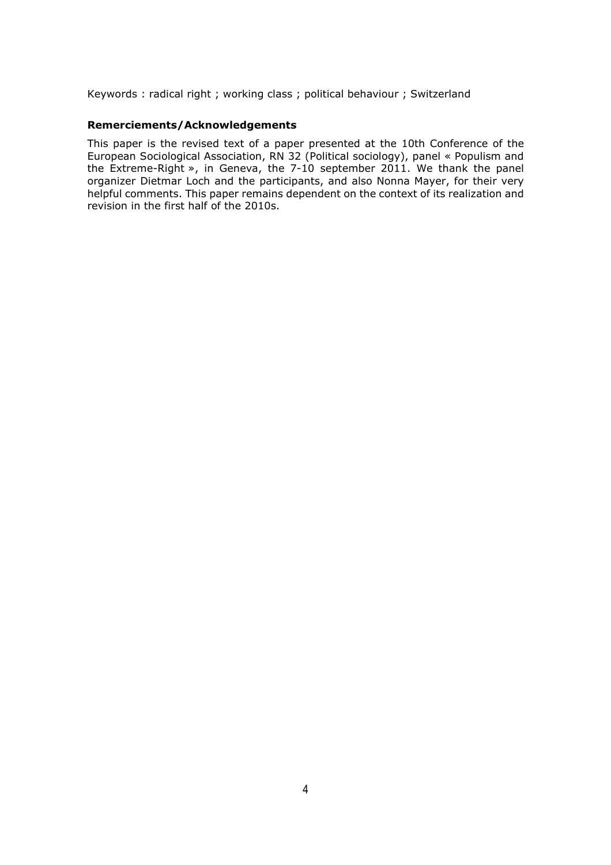Keywords : radical right ; working class ; political behaviour ; Switzerland

#### **Remerciements/Acknowledgements**

This paper is the revised text of a paper presented at the 10th Conference of the European Sociological Association, RN 32 (Political sociology), panel « Populism and the Extreme-Right », in Geneva, the 7-10 september 2011. We thank the panel organizer Dietmar Loch and the participants, and also Nonna Mayer, for their very helpful comments. This paper remains dependent on the context of its realization and revision in the first half of the 2010s.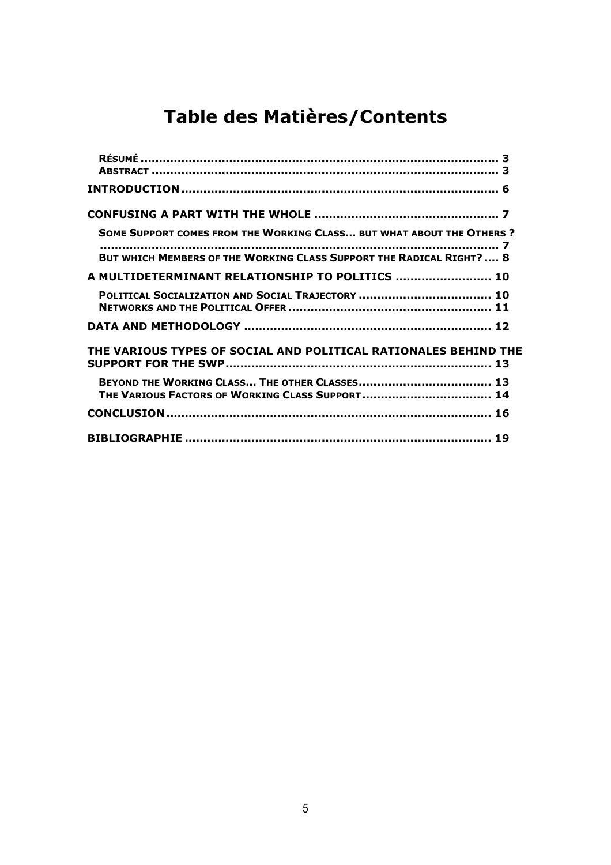# **Table des Matières/Contents**

| SOME SUPPORT COMES FROM THE WORKING CLASS BUT WHAT ABOUT THE OTHERS ?<br>BUT WHICH MEMBERS OF THE WORKING CLASS SUPPORT THE RADICAL RIGHT?  8 |  |
|-----------------------------------------------------------------------------------------------------------------------------------------------|--|
| A MULTIDETERMINANT RELATIONSHIP TO POLITICS  10                                                                                               |  |
| POLITICAL SOCIALIZATION AND SOCIAL TRAJECTORY  10                                                                                             |  |
|                                                                                                                                               |  |
| THE VARIOUS TYPES OF SOCIAL AND POLITICAL RATIONALES BEHIND THE                                                                               |  |
| THE VARIOUS FACTORS OF WORKING CLASS SUPPORT  14                                                                                              |  |
|                                                                                                                                               |  |
| 19                                                                                                                                            |  |
|                                                                                                                                               |  |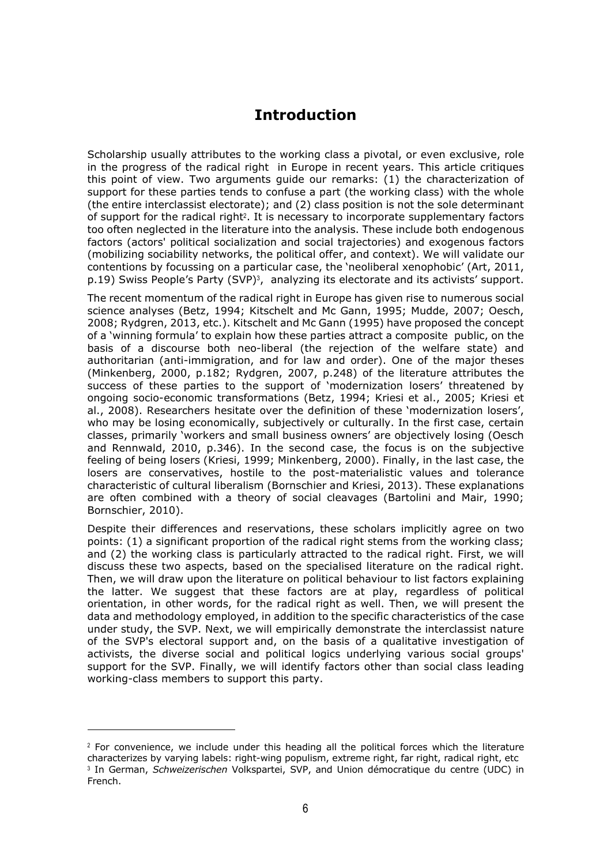# **Introduction**

Scholarship usually attributes to the working class a pivotal, or even exclusive, role in the progress of the radical right in Europe in recent years. This article critiques this point of view. Two arguments guide our remarks: (1) the characterization of support for these parties tends to confuse a part (the working class) with the whole (the entire interclassist electorate); and (2) class position is not the sole determinant of support for the radical right<sup>2</sup>. It is necessary to incorporate supplementary factors too often neglected in the literature into the analysis. These include both endogenous factors (actors' political socialization and social trajectories) and exogenous factors (mobilizing sociability networks, the political offer, and context). We will validate our contentions by focussing on a particular case, the 'neoliberal xenophobic' (Art, 2011, p.19) Swiss People's Party (SVP)<sup>3</sup>, analyzing its electorate and its activists' support.

The recent momentum of the radical right in Europe has given rise to numerous social science analyses (Betz, 1994; Kitschelt and Mc Gann, 1995; Mudde, 2007; Oesch, 2008; Rydgren, 2013, etc.). Kitschelt and Mc Gann (1995) have proposed the concept of a 'winning formula' to explain how these parties attract a composite public, on the basis of a discourse both neo-liberal (the rejection of the welfare state) and authoritarian (anti-immigration, and for law and order). One of the major theses (Minkenberg, 2000, p.182; Rydgren, 2007, p.248) of the literature attributes the success of these parties to the support of 'modernization losers' threatened by ongoing socio-economic transformations (Betz, 1994; Kriesi et al., 2005; Kriesi et al., 2008). Researchers hesitate over the definition of these 'modernization losers', who may be losing economically, subjectively or culturally. In the first case, certain classes, primarily 'workers and small business owners' are objectively losing (Oesch and Rennwald, 2010, p.346). In the second case, the focus is on the subjective feeling of being losers (Kriesi, 1999; Minkenberg, 2000). Finally, in the last case, the losers are conservatives, hostile to the post-materialistic values and tolerance characteristic of cultural liberalism (Bornschier and Kriesi, 2013). These explanations are often combined with a theory of social cleavages (Bartolini and Mair, 1990; Bornschier, 2010).

Despite their differences and reservations, these scholars implicitly agree on two points: (1) a significant proportion of the radical right stems from the working class; and (2) the working class is particularly attracted to the radical right. First, we will discuss these two aspects, based on the specialised literature on the radical right. Then, we will draw upon the literature on political behaviour to list factors explaining the latter. We suggest that these factors are at play, regardless of political orientation, in other words, for the radical right as well. Then, we will present the data and methodology employed, in addition to the specific characteristics of the case under study, the SVP. Next, we will empirically demonstrate the interclassist nature of the SVP's electoral support and, on the basis of a qualitative investigation of activists, the diverse social and political logics underlying various social groups' support for the SVP. Finally, we will identify factors other than social class leading working-class members to support this party.

 $2$  For convenience, we include under this heading all the political forces which the literature characterizes by varying labels: right-wing populism, extreme right, far right, radical right, etc 3 In German, *Schweizerischen* Volkspartei, SVP, and Union démocratique du centre (UDC) in French.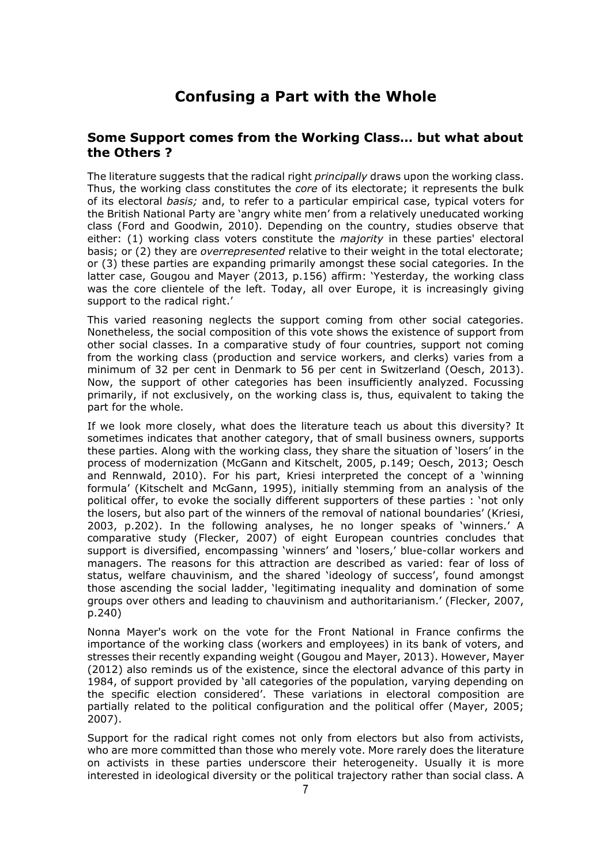## **Confusing a Part with the Whole**

#### **Some Support comes from the Working Class… but what about the Others ?**

The literature suggests that the radical right *principally* draws upon the working class. Thus, the working class constitutes the *core* of its electorate; it represents the bulk of its electoral *basis;* and, to refer to a particular empirical case, typical voters for the British National Party are 'angry white men' from a relatively uneducated working class (Ford and Goodwin, 2010). Depending on the country, studies observe that either: (1) working class voters constitute the *majority* in these parties' electoral basis; or (2) they are *overrepresented* relative to their weight in the total electorate; or (3) these parties are expanding primarily amongst these social categories. In the latter case, Gougou and Mayer (2013, p.156) affirm: 'Yesterday, the working class was the core clientele of the left. Today, all over Europe, it is increasingly giving support to the radical right.'

This varied reasoning neglects the support coming from other social categories. Nonetheless, the social composition of this vote shows the existence of support from other social classes. In a comparative study of four countries, support not coming from the working class (production and service workers, and clerks) varies from a minimum of 32 per cent in Denmark to 56 per cent in Switzerland (Oesch, 2013). Now, the support of other categories has been insufficiently analyzed. Focussing primarily, if not exclusively, on the working class is, thus, equivalent to taking the part for the whole.

If we look more closely, what does the literature teach us about this diversity? It sometimes indicates that another category, that of small business owners, supports these parties. Along with the working class, they share the situation of 'losers' in the process of modernization (McGann and Kitschelt, 2005, p.149; Oesch, 2013; Oesch and Rennwald, 2010). For his part, Kriesi interpreted the concept of a 'winning formula' (Kitschelt and McGann, 1995), initially stemming from an analysis of the political offer, to evoke the socially different supporters of these parties : 'not only the losers, but also part of the winners of the removal of national boundaries' (Kriesi, 2003, p.202). In the following analyses, he no longer speaks of 'winners.' A comparative study (Flecker, 2007) of eight European countries concludes that support is diversified, encompassing 'winners' and 'losers,' blue-collar workers and managers. The reasons for this attraction are described as varied: fear of loss of status, welfare chauvinism, and the shared 'ideology of success', found amongst those ascending the social ladder, 'legitimating inequality and domination of some groups over others and leading to chauvinism and authoritarianism.' (Flecker, 2007, p.240)

Nonna Mayer's work on the vote for the Front National in France confirms the importance of the working class (workers and employees) in its bank of voters, and stresses their recently expanding weight (Gougou and Mayer, 2013). However, Mayer (2012) also reminds us of the existence, since the electoral advance of this party in 1984, of support provided by 'all categories of the population, varying depending on the specific election considered'. These variations in electoral composition are partially related to the political configuration and the political offer (Mayer, 2005; 2007).

Support for the radical right comes not only from electors but also from activists, who are more committed than those who merely vote. More rarely does the literature on activists in these parties underscore their heterogeneity. Usually it is more interested in ideological diversity or the political trajectory rather than social class. A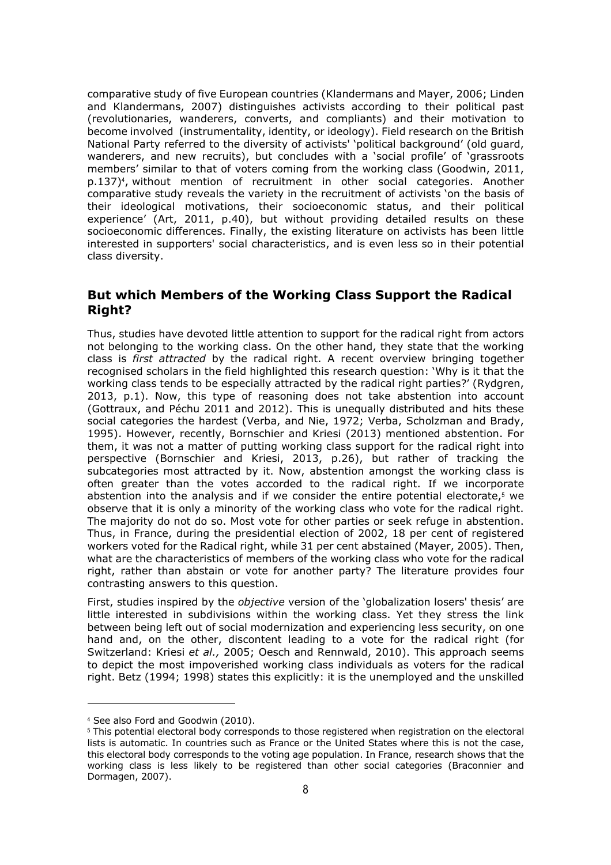comparative study of five European countries (Klandermans and Mayer, 2006; Linden and Klandermans, 2007) distinguishes activists according to their political past (revolutionaries, wanderers, converts, and compliants) and their motivation to become involved (instrumentality, identity, or ideology). Field research on the British National Party referred to the diversity of activists' 'political background' (old guard, wanderers, and new recruits), but concludes with a 'social profile' of 'grassroots members' similar to that of voters coming from the working class (Goodwin, 2011, p.137)<sup>4</sup>, without mention of recruitment in other social categories. Another comparative study reveals the variety in the recruitment of activists 'on the basis of their ideological motivations, their socioeconomic status, and their political experience' (Art, 2011, p.40), but without providing detailed results on these socioeconomic differences. Finally, the existing literature on activists has been little interested in supporters' social characteristics, and is even less so in their potential class diversity.

#### **But which Members of the Working Class Support the Radical Right?**

Thus, studies have devoted little attention to support for the radical right from actors not belonging to the working class. On the other hand, they state that the working class is *first attracted* by the radical right. A recent overview bringing together recognised scholars in the field highlighted this research question: 'Why is it that the working class tends to be especially attracted by the radical right parties?' (Rydgren, 2013, p.1). Now, this type of reasoning does not take abstention into account (Gottraux, and Péchu 2011 and 2012). This is unequally distributed and hits these social categories the hardest (Verba, and Nie, 1972; Verba, Scholzman and Brady, 1995). However, recently, Bornschier and Kriesi (2013) mentioned abstention. For them, it was not a matter of putting working class support for the radical right into perspective (Bornschier and Kriesi, 2013, p.26), but rather of tracking the subcategories most attracted by it. Now, abstention amongst the working class is often greater than the votes accorded to the radical right. If we incorporate abstention into the analysis and if we consider the entire potential electorate,<sup>5</sup> we observe that it is only a minority of the working class who vote for the radical right. The majority do not do so. Most vote for other parties or seek refuge in abstention. Thus, in France, during the presidential election of 2002, 18 per cent of registered workers voted for the Radical right, while 31 per cent abstained (Mayer, 2005). Then, what are the characteristics of members of the working class who vote for the radical right, rather than abstain or vote for another party? The literature provides four contrasting answers to this question.

First, studies inspired by the *objective* version of the 'globalization losers' thesis' are little interested in subdivisions within the working class. Yet they stress the link between being left out of social modernization and experiencing less security, on one hand and, on the other, discontent leading to a vote for the radical right (for Switzerland: Kriesi *et al.,* 2005; Oesch and Rennwald, 2010). This approach seems to depict the most impoverished working class individuals as voters for the radical right. Betz (1994; 1998) states this explicitly: it is the unemployed and the unskilled

<sup>4</sup> See also Ford and Goodwin (2010).

<sup>&</sup>lt;sup>5</sup> This potential electoral body corresponds to those registered when registration on the electoral lists is automatic. In countries such as France or the United States where this is not the case, this electoral body corresponds to the voting age population. In France, research shows that the working class is less likely to be registered than other social categories (Braconnier and Dormagen, 2007).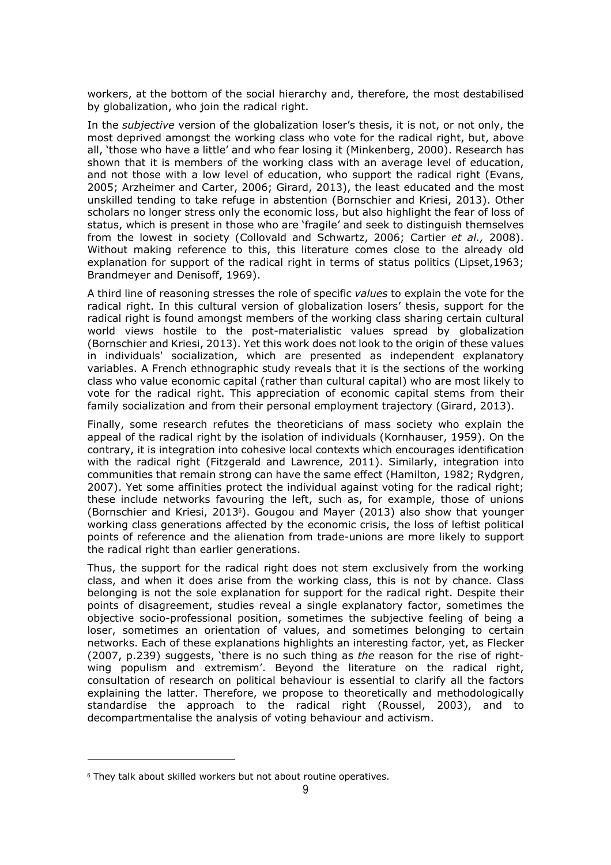workers, at the bottom of the social hierarchy and, therefore, the most destabilised by globalization, who join the radical right.

In the *subjective* version of the globalization loser's thesis, it is not, or not only, the most deprived amongst the working class who vote for the radical right, but, above all, 'those who have a little' and who fear losing it (Minkenberg, 2000). Research has shown that it is members of the working class with an average level of education, and not those with a low level of education, who support the radical right (Evans, 2005; Arzheimer and Carter, 2006; Girard, 2013), the least educated and the most unskilled tending to take refuge in abstention (Bornschier and Kriesi, 2013). Other scholars no longer stress only the economic loss, but also highlight the fear of loss of status, which is present in those who are 'fragile' and seek to distinguish themselves from the lowest in society (Collovald and Schwartz, 2006; Cartier *et al.,* 2008). Without making reference to this, this literature comes close to the already old explanation for support of the radical right in terms of status politics (Lipset,1963; Brandmeyer and Denisoff, 1969).

A third line of reasoning stresses the role of specific *values* to explain the vote for the radical right. In this cultural version of globalization losers' thesis, support for the radical right is found amongst members of the working class sharing certain cultural world views hostile to the post-materialistic values spread by globalization (Bornschier and Kriesi, 2013). Yet this work does not look to the origin of these values in individuals' socialization, which are presented as independent explanatory variables. A French ethnographic study reveals that it is the sections of the working class who value economic capital (rather than cultural capital) who are most likely to vote for the radical right. This appreciation of economic capital stems from their family socialization and from their personal employment trajectory (Girard, 2013).

Finally, some research refutes the theoreticians of mass society who explain the appeal of the radical right by the isolation of individuals (Kornhauser, 1959). On the contrary, it is integration into cohesive local contexts which encourages identification with the radical right (Fitzgerald and Lawrence, 2011). Similarly, integration into communities that remain strong can have the same effect (Hamilton, 1982; Rydgren, 2007). Yet some affinities protect the individual against voting for the radical right; these include networks favouring the left, such as, for example, those of unions (Bornschier and Kriesi, 2013<sup>6</sup>). Gougou and Mayer (2013) also show that younger working class generations affected by the economic crisis, the loss of leftist political points of reference and the alienation from trade-unions are more likely to support the radical right than earlier generations.

Thus, the support for the radical right does not stem exclusively from the working class, and when it does arise from the working class, this is not by chance. Class belonging is not the sole explanation for support for the radical right. Despite their points of disagreement, studies reveal a single explanatory factor, sometimes the objective socio-professional position, sometimes the subjective feeling of being a loser, sometimes an orientation of values, and sometimes belonging to certain networks. Each of these explanations highlights an interesting factor, yet, as Flecker (2007, p.239) suggests, 'there is no such thing as *the* reason for the rise of rightwing populism and extremism'. Beyond the literature on the radical right, consultation of research on political behaviour is essential to clarify all the factors explaining the latter. Therefore, we propose to theoretically and methodologically standardise the approach to the radical right (Roussel, 2003), and to decompartmentalise the analysis of voting behaviour and activism.

<sup>&</sup>lt;sup>6</sup> They talk about skilled workers but not about routine operatives.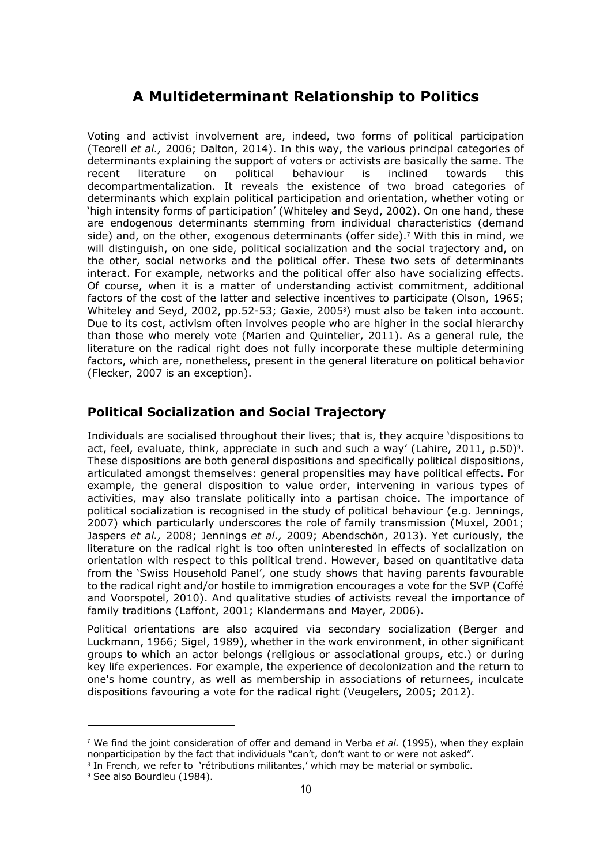## **A Multideterminant Relationship to Politics**

Voting and activist involvement are, indeed, two forms of political participation (Teorell *et al.,* 2006; Dalton, 2014). In this way, the various principal categories of determinants explaining the support of voters or activists are basically the same. The recent literature on political behaviour is inclined towards this decompartmentalization. It reveals the existence of two broad categories of determinants which explain political participation and orientation, whether voting or 'high intensity forms of participation' (Whiteley and Seyd, 2002). On one hand, these are endogenous determinants stemming from individual characteristics (demand side) and, on the other, exogenous determinants (offer side).<sup>7</sup> With this in mind, we will distinguish, on one side, political socialization and the social trajectory and, on the other, social networks and the political offer. These two sets of determinants interact. For example, networks and the political offer also have socializing effects. Of course, when it is a matter of understanding activist commitment, additional factors of the cost of the latter and selective incentives to participate (Olson, 1965; Whiteley and Seyd, 2002, pp.52-53; Gaxie, 2005<sup>8</sup>) must also be taken into account. Due to its cost, activism often involves people who are higher in the social hierarchy than those who merely vote (Marien and Quintelier, 2011). As a general rule, the literature on the radical right does not fully incorporate these multiple determining factors, which are, nonetheless, present in the general literature on political behavior (Flecker, 2007 is an exception).

#### **Political Socialization and Social Trajectory**

Individuals are socialised throughout their lives; that is, they acquire 'dispositions to act, feel, evaluate, think, appreciate in such and such a way' (Lahire, 2011,  $p.50$ )<sup>9</sup>. These dispositions are both general dispositions and specifically political dispositions, articulated amongst themselves: general propensities may have political effects. For example, the general disposition to value order, intervening in various types of activities, may also translate politically into a partisan choice. The importance of political socialization is recognised in the study of political behaviour (e.g. Jennings, 2007) which particularly underscores the role of family transmission (Muxel, 2001; Jaspers *et al.,* 2008; Jennings *et al.,* 2009; Abendschön, 2013). Yet curiously, the literature on the radical right is too often uninterested in effects of socialization on orientation with respect to this political trend. However, based on quantitative data from the 'Swiss Household Panel', one study shows that having parents favourable to the radical right and/or hostile to immigration encourages a vote for the SVP (Coffé and Voorspotel, 2010). And qualitative studies of activists reveal the importance of family traditions (Laffont, 2001; Klandermans and Mayer, 2006).

Political orientations are also acquired via secondary socialization (Berger and Luckmann, 1966; Sigel, 1989), whether in the work environment, in other significant groups to which an actor belongs (religious or associational groups, etc.) or during key life experiences. For example, the experience of decolonization and the return to one's home country, as well as membership in associations of returnees, inculcate dispositions favouring a vote for the radical right (Veugelers, 2005; 2012).

<sup>7</sup> We find the joint consideration of offer and demand in Verba *et al.* (1995), when they explain nonparticipation by the fact that individuals "can't, don't want to or were not asked".

<sup>&</sup>lt;sup>8</sup> In French, we refer to 'rétributions militantes,' which may be material or symbolic.

<sup>&</sup>lt;sup>9</sup> See also Bourdieu (1984).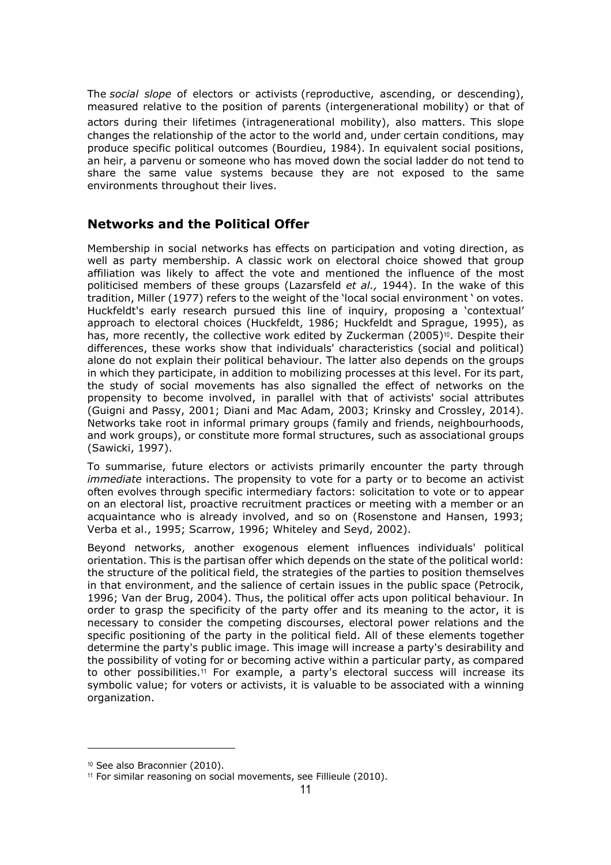The *social slope* of electors or activists (reproductive, ascending, or descending), measured relative to the position of parents (intergenerational mobility) or that of actors during their lifetimes (intragenerational mobility), also matters. This slope changes the relationship of the actor to the world and, under certain conditions, may produce specific political outcomes (Bourdieu, 1984). In equivalent social positions, an heir, a parvenu or someone who has moved down the social ladder do not tend to share the same value systems because they are not exposed to the same environments throughout their lives.

#### **Networks and the Political Offer**

Membership in social networks has effects on participation and voting direction, as well as party membership. A classic work on electoral choice showed that group affiliation was likely to affect the vote and mentioned the influence of the most politicised members of these groups (Lazarsfeld *et al.,* 1944). In the wake of this tradition, Miller (1977) refers to the weight of the 'local social environment ' on votes. Huckfeldt's early research pursued this line of inquiry, proposing a 'contextual' approach to electoral choices (Huckfeldt, 1986; Huckfeldt and Sprague, 1995), as has, more recently, the collective work edited by Zuckerman (2005)<sup>10</sup>. Despite their differences, these works show that individuals' characteristics (social and political) alone do not explain their political behaviour. The latter also depends on the groups in which they participate, in addition to mobilizing processes at this level. For its part, the study of social movements has also signalled the effect of networks on the propensity to become involved, in parallel with that of activists' social attributes (Guigni and Passy, 2001; Diani and Mac Adam, 2003; Krinsky and Crossley, 2014). Networks take root in informal primary groups (family and friends, neighbourhoods, and work groups), or constitute more formal structures, such as associational groups (Sawicki, 1997).

To summarise, future electors or activists primarily encounter the party through *immediate* interactions. The propensity to vote for a party or to become an activist often evolves through specific intermediary factors: solicitation to vote or to appear on an electoral list, proactive recruitment practices or meeting with a member or an acquaintance who is already involved, and so on (Rosenstone and Hansen, 1993; Verba et al., 1995; Scarrow, 1996; Whiteley and Seyd, 2002).

Beyond networks, another exogenous element influences individuals' political orientation. This is the partisan offer which depends on the state of the political world: the structure of the political field, the strategies of the parties to position themselves in that environment, and the salience of certain issues in the public space (Petrocik, 1996; Van der Brug, 2004). Thus, the political offer acts upon political behaviour. In order to grasp the specificity of the party offer and its meaning to the actor, it is necessary to consider the competing discourses, electoral power relations and the specific positioning of the party in the political field. All of these elements together determine the party's public image. This image will increase a party's desirability and the possibility of voting for or becoming active within a particular party, as compared to other possibilities.<sup>11</sup> For example, a party's electoral success will increase its symbolic value; for voters or activists, it is valuable to be associated with a winning organization.

<sup>10</sup> See also Braconnier (2010).

<sup>11</sup> For similar reasoning on social movements, see Fillieule (2010).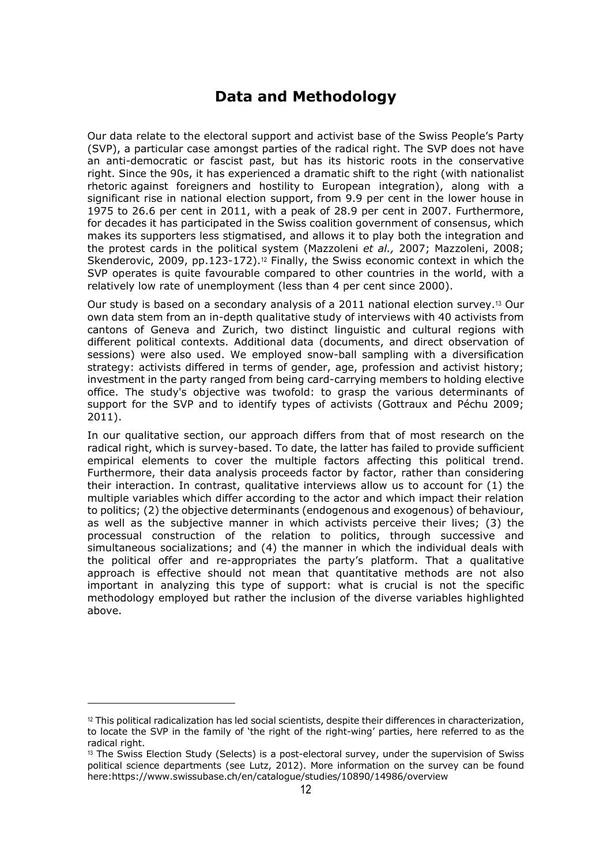# **Data and Methodology**

Our data relate to the electoral support and activist base of the Swiss People's Party (SVP), a particular case amongst parties of the radical right. The SVP does not have an anti-democratic or fascist past, but has its historic roots in the conservative right. Since the 90s, it has experienced a dramatic shift to the right (with nationalist rhetoric against foreigners and hostility to European integration), along with a significant rise in national election support, from 9.9 per cent in the lower house in 1975 to 26.6 per cent in 2011, with a peak of 28.9 per cent in 2007. Furthermore, for decades it has participated in the Swiss coalition government of consensus, which makes its supporters less stigmatised, and allows it to play both the integration and the protest cards in the political system (Mazzoleni *et al.,* 2007; Mazzoleni, 2008; Skenderovic, 2009, pp.123-172).<sup>12</sup> Finally, the Swiss economic context in which the SVP operates is quite favourable compared to other countries in the world, with a relatively low rate of unemployment (less than 4 per cent since 2000).

Our study is based on a secondary analysis of a 2011 national election survey.<sup>13</sup> Our own data stem from an in-depth qualitative study of interviews with 40 activists from cantons of Geneva and Zurich, two distinct linguistic and cultural regions with different political contexts. Additional data (documents, and direct observation of sessions) were also used. We employed snow-ball sampling with a diversification strategy: activists differed in terms of gender, age, profession and activist history; investment in the party ranged from being card-carrying members to holding elective office. The study's objective was twofold: to grasp the various determinants of support for the SVP and to identify types of activists (Gottraux and Péchu 2009; 2011).

In our qualitative section, our approach differs from that of most research on the radical right, which is survey-based. To date, the latter has failed to provide sufficient empirical elements to cover the multiple factors affecting this political trend. Furthermore, their data analysis proceeds factor by factor, rather than considering their interaction. In contrast, qualitative interviews allow us to account for (1) the multiple variables which differ according to the actor and which impact their relation to politics; (2) the objective determinants (endogenous and exogenous) of behaviour, as well as the subjective manner in which activists perceive their lives; (3) the processual construction of the relation to politics, through successive and simultaneous socializations; and (4) the manner in which the individual deals with the political offer and re-appropriates the party's platform. That a qualitative approach is effective should not mean that quantitative methods are not also important in analyzing this type of support: what is crucial is not the specific methodology employed but rather the inclusion of the diverse variables highlighted above.

 $12$  This political radicalization has led social scientists, despite their differences in characterization, to locate the SVP in the family of 'the right of the right-wing' parties, here referred to as the radical right.

<sup>&</sup>lt;sup>13</sup> The Swiss Election Study (Selects) is a post-electoral survey, under the supervision of Swiss political science departments (see Lutz, 2012). More information on the survey can be found here:https://www.swissubase.ch/en/catalogue/studies/10890/14986/overview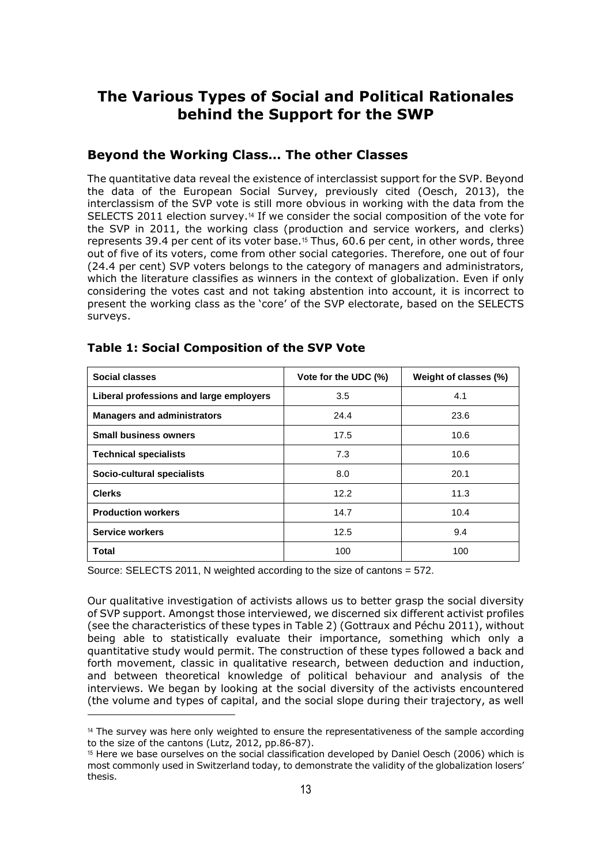## **The Various Types of Social and Political Rationales behind the Support for the SWP**

#### **Beyond the Working Class… The other Classes**

The quantitative data reveal the existence of interclassist support for the SVP. Beyond the data of the European Social Survey, previously cited (Oesch, 2013), the interclassism of the SVP vote is still more obvious in working with the data from the SELECTS 2011 election survey.<sup>14</sup> If we consider the social composition of the vote for the SVP in 2011, the working class (production and service workers, and clerks) represents 39.4 per cent of its voter base.<sup>15</sup> Thus, 60.6 per cent, in other words, three out of five of its voters, come from other social categories. Therefore, one out of four (24.4 per cent) SVP voters belongs to the category of managers and administrators, which the literature classifies as winners in the context of globalization. Even if only considering the votes cast and not taking abstention into account, it is incorrect to present the working class as the 'core' of the SVP electorate, based on the SELECTS surveys.

| Social classes                          | Vote for the UDC (%) | Weight of classes (%) |
|-----------------------------------------|----------------------|-----------------------|
| Liberal professions and large employers | 3.5                  | 4.1                   |
| <b>Managers and administrators</b>      | 24.4                 | 23.6                  |
| <b>Small business owners</b>            | 17.5                 | 10.6                  |
| <b>Technical specialists</b>            | 7.3                  | 10.6                  |
| Socio-cultural specialists              | 8.0                  | 20.1                  |
| <b>Clerks</b>                           | 12.2                 | 11.3                  |
| <b>Production workers</b>               | 14.7                 | 10.4                  |
| <b>Service workers</b>                  | 12.5                 | 9.4                   |
| <b>Total</b>                            | 100                  | 100                   |

#### **Table 1: Social Composition of the SVP Vote**

Source: SELECTS 2011, N weighted according to the size of cantons = 572.

Our qualitative investigation of activists allows us to better grasp the social diversity of SVP support. Amongst those interviewed, we discerned six different activist profiles (see the characteristics of these types in Table 2) (Gottraux and Péchu 2011), without being able to statistically evaluate their importance, something which only a quantitative study would permit. The construction of these types followed a back and forth movement, classic in qualitative research, between deduction and induction, and between theoretical knowledge of political behaviour and analysis of the interviews. We began by looking at the social diversity of the activists encountered (the volume and types of capital, and the social slope during their trajectory, as well

 $14$  The survey was here only weighted to ensure the representativeness of the sample according to the size of the cantons (Lutz, 2012, pp.86-87).

<sup>&</sup>lt;sup>15</sup> Here we base ourselves on the social classification developed by Daniel Oesch (2006) which is most commonly used in Switzerland today, to demonstrate the validity of the globalization losers' thesis.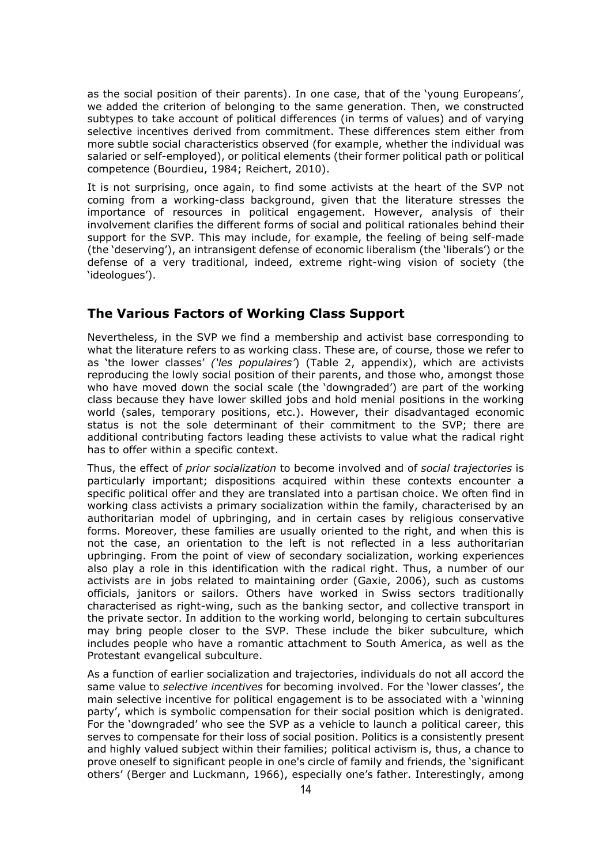as the social position of their parents). In one case, that of the 'young Europeans', we added the criterion of belonging to the same generation. Then, we constructed subtypes to take account of political differences (in terms of values) and of varying selective incentives derived from commitment. These differences stem either from more subtle social characteristics observed (for example, whether the individual was salaried or self-employed), or political elements (their former political path or political competence (Bourdieu, 1984; Reichert, 2010).

It is not surprising, once again, to find some activists at the heart of the SVP not coming from a working-class background, given that the literature stresses the importance of resources in political engagement. However, analysis of their involvement clarifies the different forms of social and political rationales behind their support for the SVP. This may include, for example, the feeling of being self-made (the 'deserving'), an intransigent defense of economic liberalism (the 'liberals') or the defense of a very traditional, indeed, extreme right-wing vision of society (the 'ideologues').

#### **The Various Factors of Working Class Support**

Nevertheless, in the SVP we find a membership and activist base corresponding to what the literature refers to as working class. These are, of course, those we refer to as 'the lower classes' *('les populaires'*) (Table 2, appendix), which are activists reproducing the lowly social position of their parents, and those who, amongst those who have moved down the social scale (the 'downgraded') are part of the working class because they have lower skilled jobs and hold menial positions in the working world (sales, temporary positions, etc.). However, their disadvantaged economic status is not the sole determinant of their commitment to the SVP; there are additional contributing factors leading these activists to value what the radical right has to offer within a specific context.

Thus, the effect of *prior socialization* to become involved and of *social trajectories* is particularly important; dispositions acquired within these contexts encounter a specific political offer and they are translated into a partisan choice. We often find in working class activists a primary socialization within the family, characterised by an authoritarian model of upbringing, and in certain cases by religious conservative forms. Moreover, these families are usually oriented to the right, and when this is not the case, an orientation to the left is not reflected in a less authoritarian upbringing. From the point of view of secondary socialization, working experiences also play a role in this identification with the radical right. Thus, a number of our activists are in jobs related to maintaining order (Gaxie, 2006), such as customs officials, janitors or sailors. Others have worked in Swiss sectors traditionally characterised as right-wing, such as the banking sector, and collective transport in the private sector. In addition to the working world, belonging to certain subcultures may bring people closer to the SVP. These include the biker subculture, which includes people who have a romantic attachment to South America, as well as the Protestant evangelical subculture.

As a function of earlier socialization and trajectories, individuals do not all accord the same value to *selective incentives* for becoming involved. For the 'lower classes', the main selective incentive for political engagement is to be associated with a 'winning party', which is symbolic compensation for their social position which is denigrated. For the 'downgraded' who see the SVP as a vehicle to launch a political career, this serves to compensate for their loss of social position. Politics is a consistently present and highly valued subject within their families; political activism is, thus, a chance to prove oneself to significant people in one's circle of family and friends, the 'significant others' (Berger and Luckmann, 1966), especially one's father. Interestingly, among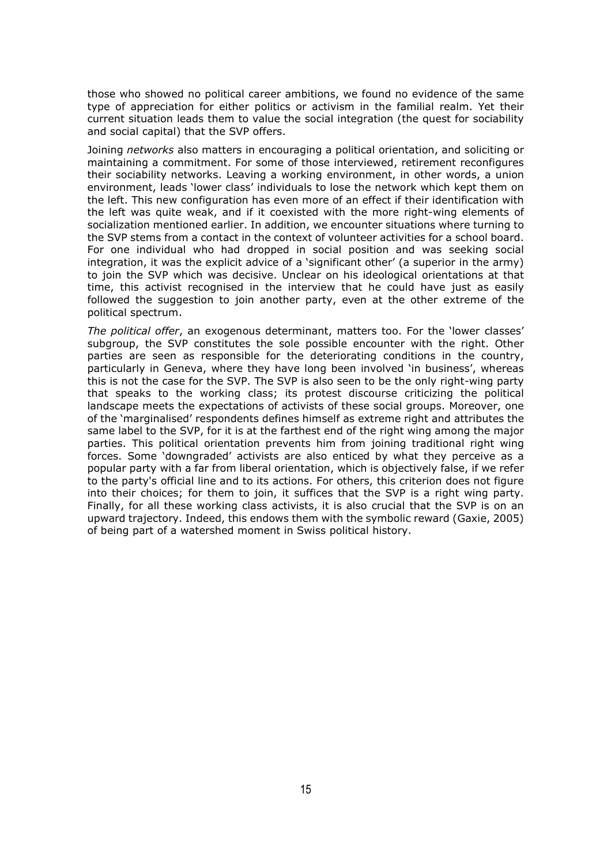those who showed no political career ambitions, we found no evidence of the same type of appreciation for either politics or activism in the familial realm. Yet their current situation leads them to value the social integration (the quest for sociability and social capital) that the SVP offers.

Joining *networks* also matters in encouraging a political orientation, and soliciting or maintaining a commitment. For some of those interviewed, retirement reconfigures their sociability networks. Leaving a working environment, in other words, a union environment, leads 'lower class' individuals to lose the network which kept them on the left. This new configuration has even more of an effect if their identification with the left was quite weak, and if it coexisted with the more right-wing elements of socialization mentioned earlier. In addition, we encounter situations where turning to the SVP stems from a contact in the context of volunteer activities for a school board. For one individual who had dropped in social position and was seeking social integration, it was the explicit advice of a 'significant other' (a superior in the army) to join the SVP which was decisive. Unclear on his ideological orientations at that time, this activist recognised in the interview that he could have just as easily followed the suggestion to join another party, even at the other extreme of the political spectrum.

*The political offer*, an exogenous determinant, matters too. For the 'lower classes' subgroup, the SVP constitutes the sole possible encounter with the right. Other parties are seen as responsible for the deteriorating conditions in the country, particularly in Geneva, where they have long been involved 'in business', whereas this is not the case for the SVP. The SVP is also seen to be the only right-wing party that speaks to the working class; its protest discourse criticizing the political landscape meets the expectations of activists of these social groups. Moreover, one of the 'marginalised' respondents defines himself as extreme right and attributes the same label to the SVP, for it is at the farthest end of the right wing among the major parties. This political orientation prevents him from joining traditional right wing forces. Some 'downgraded' activists are also enticed by what they perceive as a popular party with a far from liberal orientation, which is objectively false, if we refer to the party's official line and to its actions. For others, this criterion does not figure into their choices; for them to join, it suffices that the SVP is a right wing party. Finally, for all these working class activists, it is also crucial that the SVP is on an upward trajectory. Indeed, this endows them with the symbolic reward (Gaxie, 2005) of being part of a watershed moment in Swiss political history.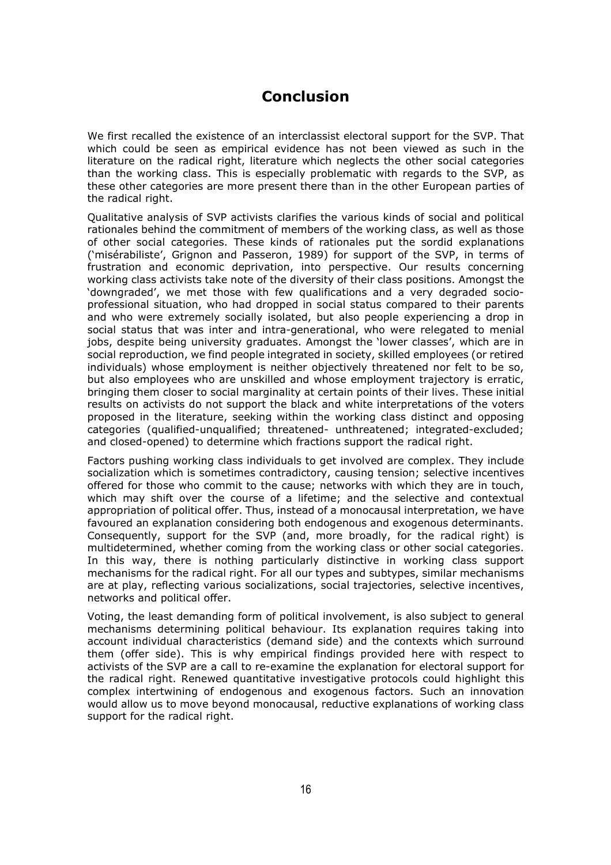### **Conclusion**

We first recalled the existence of an interclassist electoral support for the SVP. That which could be seen as empirical evidence has not been viewed as such in the literature on the radical right, literature which neglects the other social categories than the working class. This is especially problematic with regards to the SVP, as these other categories are more present there than in the other European parties of the radical right.

Qualitative analysis of SVP activists clarifies the various kinds of social and political rationales behind the commitment of members of the working class, as well as those of other social categories. These kinds of rationales put the sordid explanations ('misérabiliste', Grignon and Passeron, 1989) for support of the SVP, in terms of frustration and economic deprivation, into perspective. Our results concerning working class activists take note of the diversity of their class positions. Amongst the 'downgraded', we met those with few qualifications and a very degraded socioprofessional situation, who had dropped in social status compared to their parents and who were extremely socially isolated, but also people experiencing a drop in social status that was inter and intra-generational, who were relegated to menial jobs, despite being university graduates. Amongst the 'lower classes', which are in social reproduction, we find people integrated in society, skilled employees (or retired individuals) whose employment is neither objectively threatened nor felt to be so, but also employees who are unskilled and whose employment trajectory is erratic, bringing them closer to social marginality at certain points of their lives. These initial results on activists do not support the black and white interpretations of the voters proposed in the literature, seeking within the working class distinct and opposing categories (qualified-unqualified; threatened- unthreatened; integrated-excluded; and closed-opened) to determine which fractions support the radical right.

Factors pushing working class individuals to get involved are complex. They include socialization which is sometimes contradictory, causing tension; selective incentives offered for those who commit to the cause; networks with which they are in touch, which may shift over the course of a lifetime; and the selective and contextual appropriation of political offer. Thus, instead of a monocausal interpretation, we have favoured an explanation considering both endogenous and exogenous determinants. Consequently, support for the SVP (and, more broadly, for the radical right) is multidetermined, whether coming from the working class or other social categories. In this way, there is nothing particularly distinctive in working class support mechanisms for the radical right. For all our types and subtypes, similar mechanisms are at play, reflecting various socializations, social trajectories, selective incentives, networks and political offer.

Voting, the least demanding form of political involvement, is also subject to general mechanisms determining political behaviour. Its explanation requires taking into account individual characteristics (demand side) and the contexts which surround them (offer side). This is why empirical findings provided here with respect to activists of the SVP are a call to re-examine the explanation for electoral support for the radical right. Renewed quantitative investigative protocols could highlight this complex intertwining of endogenous and exogenous factors. Such an innovation would allow us to move beyond monocausal, reductive explanations of working class support for the radical right.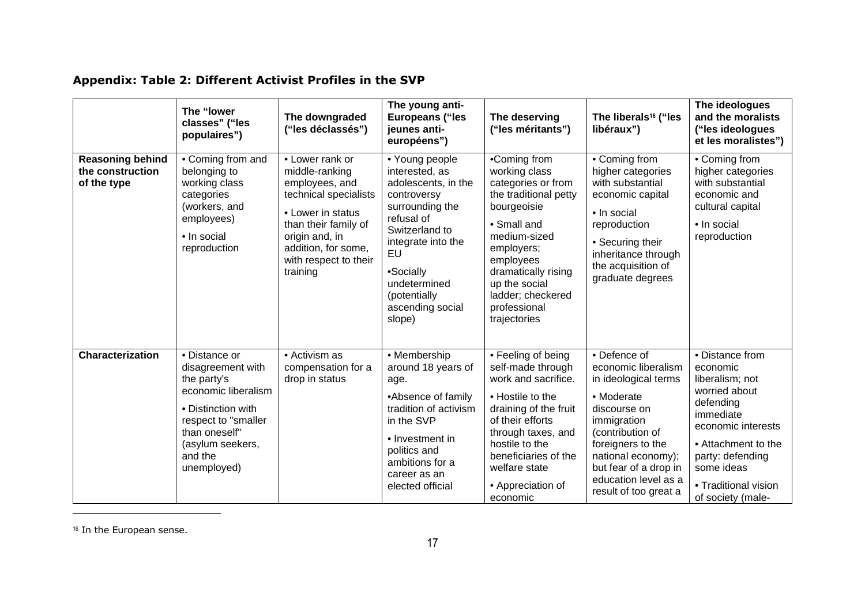|                                                            | The "lower<br>classes" ("les<br>populaires")                                                                                                                                         | The downgraded<br>("les déclassés")                                                                                                                                                                     | The young anti-<br>Europeans ("les<br>jeunes anti-<br>européens")                                                                                                                                                                | The deserving<br>("les méritants")                                                                                                                                                                                                                 | The liberals <sup>16</sup> ("les<br>libéraux")                                                                                                                                                                                                    | The ideologues<br>and the moralists<br>("les ideologues<br>et les moralistes")                                                                                                                                        |
|------------------------------------------------------------|--------------------------------------------------------------------------------------------------------------------------------------------------------------------------------------|---------------------------------------------------------------------------------------------------------------------------------------------------------------------------------------------------------|----------------------------------------------------------------------------------------------------------------------------------------------------------------------------------------------------------------------------------|----------------------------------------------------------------------------------------------------------------------------------------------------------------------------------------------------------------------------------------------------|---------------------------------------------------------------------------------------------------------------------------------------------------------------------------------------------------------------------------------------------------|-----------------------------------------------------------------------------------------------------------------------------------------------------------------------------------------------------------------------|
| <b>Reasoning behind</b><br>the construction<br>of the type | • Coming from and<br>belonging to<br>working class<br>categories<br>(workers, and<br>employees)<br>• In social<br>reproduction                                                       | • Lower rank or<br>middle-ranking<br>employees, and<br>technical specialists<br>• Lower in status<br>than their family of<br>origin and, in<br>addition, for some,<br>with respect to their<br>training | • Young people<br>interested, as<br>adolescents, in the<br>controversy<br>surrounding the<br>refusal of<br>Switzerland to<br>integrate into the<br>EU<br>•Socially<br>undetermined<br>(potentially<br>ascending social<br>slope) | •Coming from<br>working class<br>categories or from<br>the traditional petty<br>bourgeoisie<br>• Small and<br>medium-sized<br>employers;<br>employees<br>dramatically rising<br>up the social<br>ladder; checkered<br>professional<br>trajectories | • Coming from<br>higher categories<br>with substantial<br>economic capital<br>• In social<br>reproduction<br>• Securing their<br>inheritance through<br>the acquisition of<br>graduate degrees                                                    | • Coming from<br>higher categories<br>with substantial<br>economic and<br>cultural capital<br>• In social<br>reproduction                                                                                             |
| Characterization                                           | • Distance or<br>disagreement with<br>the party's<br>economic liberalism<br>• Distinction with<br>respect to "smaller<br>than oneself"<br>(asylum seekers,<br>and the<br>unemployed) | • Activism as<br>compensation for a<br>drop in status                                                                                                                                                   | • Membership<br>around 18 years of<br>age.<br>•Absence of family<br>tradition of activism<br>in the SVP<br>• Investment in<br>politics and<br>ambitions for a<br>career as an<br>elected official                                | • Feeling of being<br>self-made through<br>work and sacrifice.<br>• Hostile to the<br>draining of the fruit<br>of their efforts<br>through taxes, and<br>hostile to the<br>beneficiaries of the<br>welfare state<br>• Appreciation of<br>economic  | • Defence of<br>economic liberalism<br>in ideological terms<br>• Moderate<br>discourse on<br>immigration<br>(contribution of<br>foreigners to the<br>national economy);<br>but fear of a drop in<br>education level as a<br>result of too great a | • Distance from<br>economic<br>liberalism; not<br>worried about<br>defending<br>immediate<br>economic interests<br>• Attachment to the<br>party: defending<br>some ideas<br>• Traditional vision<br>of society (male- |

## **Appendix: Table 2: Different Activist Profiles in the SVP**

<sup>16</sup> In the European sense.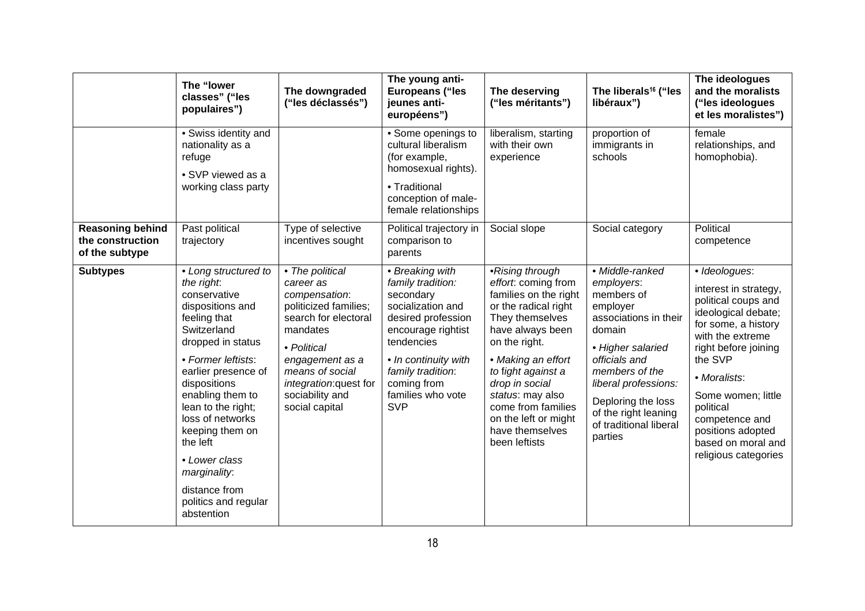|                                                               | The "lower<br>classes" ("les<br>populaires")                                                                                                                                                                                                                                                                                                                                 | The downgraded<br>("les déclassés")                                                                                                                                                                                            | The young anti-<br><b>Europeans ("les</b><br>jeunes anti-<br>européens")                                                                                                                                                        | The deserving<br>("les méritants")                                                                                                                                                                                                                                                                                  | The liberals <sup>16</sup> ("les<br>libéraux")                                                                                                                                                                                                                | The ideologues<br>and the moralists<br>("les ideologues<br>et les moralistes")                                                                                                                                                                                                                             |
|---------------------------------------------------------------|------------------------------------------------------------------------------------------------------------------------------------------------------------------------------------------------------------------------------------------------------------------------------------------------------------------------------------------------------------------------------|--------------------------------------------------------------------------------------------------------------------------------------------------------------------------------------------------------------------------------|---------------------------------------------------------------------------------------------------------------------------------------------------------------------------------------------------------------------------------|---------------------------------------------------------------------------------------------------------------------------------------------------------------------------------------------------------------------------------------------------------------------------------------------------------------------|---------------------------------------------------------------------------------------------------------------------------------------------------------------------------------------------------------------------------------------------------------------|------------------------------------------------------------------------------------------------------------------------------------------------------------------------------------------------------------------------------------------------------------------------------------------------------------|
|                                                               | • Swiss identity and<br>nationality as a<br>refuge<br>· SVP viewed as a<br>working class party                                                                                                                                                                                                                                                                               |                                                                                                                                                                                                                                | • Some openings to<br>cultural liberalism<br>(for example,<br>homosexual rights).<br>• Traditional<br>conception of male-<br>female relationships                                                                               | liberalism, starting<br>with their own<br>experience                                                                                                                                                                                                                                                                | proportion of<br>immigrants in<br>schools                                                                                                                                                                                                                     | female<br>relationships, and<br>homophobia).                                                                                                                                                                                                                                                               |
| <b>Reasoning behind</b><br>the construction<br>of the subtype | Past political<br>trajectory                                                                                                                                                                                                                                                                                                                                                 | Type of selective<br>incentives sought                                                                                                                                                                                         | Political trajectory in<br>comparison to<br>parents                                                                                                                                                                             | Social slope                                                                                                                                                                                                                                                                                                        | Social category                                                                                                                                                                                                                                               | Political<br>competence                                                                                                                                                                                                                                                                                    |
| <b>Subtypes</b>                                               | • Long structured to<br>the right:<br>conservative<br>dispositions and<br>feeling that<br>Switzerland<br>dropped in status<br>• Former leftists:<br>earlier presence of<br>dispositions<br>enabling them to<br>lean to the right;<br>loss of networks<br>keeping them on<br>the left<br>• Lower class<br>marginality:<br>distance from<br>politics and regular<br>abstention | • The political<br>career as<br>compensation:<br>politicized families;<br>search for electoral<br>mandates<br>• Political<br>engagement as a<br>means of social<br>integration: quest for<br>sociability and<br>social capital | • Breaking with<br>family tradition:<br>secondary<br>socialization and<br>desired profession<br>encourage rightist<br>tendencies<br>• In continuity with<br>family tradition:<br>coming from<br>families who vote<br><b>SVP</b> | •Rising through<br>effort: coming from<br>families on the right<br>or the radical right<br>They themselves<br>have always been<br>on the right.<br>• Making an effort<br>to fight against a<br>drop in social<br>status: may also<br>come from families<br>on the left or might<br>have themselves<br>been leftists | • Middle-ranked<br>employers:<br>members of<br>employer<br>associations in their<br>domain<br>· Higher salaried<br>officials and<br>members of the<br>liberal professions:<br>Deploring the loss<br>of the right leaning<br>of traditional liberal<br>parties | · Ideologues:<br>interest in strategy,<br>political coups and<br>ideological debate;<br>for some, a history<br>with the extreme<br>right before joining<br>the SVP<br>• Moralists:<br>Some women; little<br>political<br>competence and<br>positions adopted<br>based on moral and<br>religious categories |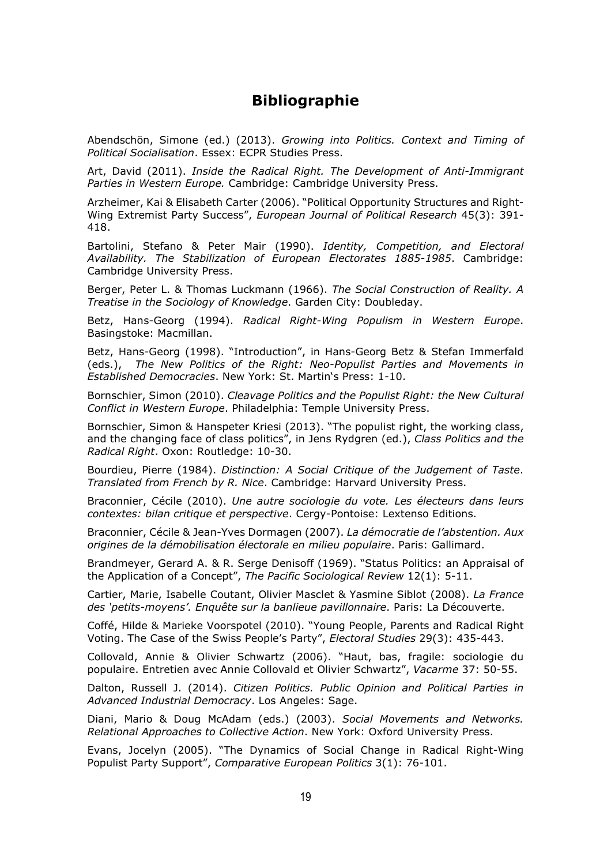### **Bibliographie**

Abendschön, Simone (ed.) (2013). *Growing into Politics. Context and Timing of Political Socialisation*. Essex: ECPR Studies Press.

Art, David (2011). *Inside the Radical Right. The Development of Anti-Immigrant Parties in Western Europe.* Cambridge: Cambridge University Press.

Arzheimer, Kai & Elisabeth Carter (2006). "Political Opportunity Structures and Right-Wing Extremist Party Success", *European Journal of Political Research* 45(3): 391- 418.

Bartolini, Stefano & Peter Mair (1990). *Identity, Competition, and Electoral Availability. The Stabilization of European Electorates 1885-1985*. Cambridge: Cambridge University Press.

Berger, Peter L. & Thomas Luckmann (1966). *The Social Construction of Reality. A Treatise in the Sociology of Knowledge*. Garden City: Doubleday.

Betz, Hans-Georg (1994). *Radical Right-Wing Populism in Western Europe*. Basingstoke: Macmillan.

Betz, Hans-Georg (1998). "Introduction", in Hans-Georg Betz & Stefan Immerfald (eds.), *The New Politics of the Right: Neo-Populist Parties and Movements in Established Democracies*. New York: St. Martin's Press: 1-10.

Bornschier, Simon (2010). *Cleavage Politics and the Populist Right: the New Cultural Conflict in Western Europe*. Philadelphia: Temple University Press.

Bornschier, Simon & Hanspeter Kriesi (2013). "The populist right, the working class, and the changing face of class politics", in Jens Rydgren (ed.), *Class Politics and the Radical Right*. Oxon: Routledge: 10-30.

Bourdieu, Pierre (1984). *Distinction: A Social Critique of the Judgement of Taste*. *Translated from French by R. Nice*. Cambridge: Harvard University Press.

Braconnier, Cécile (2010). *Une autre sociologie du vote. Les électeurs dans leurs contextes: bilan critique et perspective*. Cergy-Pontoise: Lextenso Editions.

Braconnier, Cécile & Jean-Yves Dormagen (2007). *La démocratie de l'abstention. Aux origines de la démobilisation électorale en milieu populaire*. Paris: Gallimard.

Brandmeyer, Gerard A. & R. Serge Denisoff (1969). "Status Politics: an Appraisal of the Application of a Concept", *The Pacific Sociological Review* 12(1): 5-11.

Cartier, Marie, Isabelle Coutant, Olivier Masclet & Yasmine Siblot (2008). *La France des 'petits-moyens'. Enquête sur la banlieue pavillonnaire*. Paris: La Découverte.

Coffé, Hilde & Marieke Voorspotel (2010). "Young People, Parents and Radical Right Voting. The Case of the Swiss People's Party", *Electoral Studies* 29(3): 435-443.

Collovald, Annie & Olivier Schwartz (2006). "Haut, bas, fragile: sociologie du populaire. Entretien avec Annie Collovald et Olivier Schwartz", *Vacarme* 37: 50-55.

Dalton, Russell J. (2014). *Citizen Politics. Public Opinion and Political Parties in Advanced Industrial Democracy*. Los Angeles: Sage.

Diani, Mario & Doug McAdam (eds.) (2003). *Social Movements and Networks. Relational Approaches to Collective Action*. New York: Oxford University Press.

Evans, Jocelyn (2005). "The Dynamics of Social Change in Radical Right-Wing Populist Party Support", *Comparative European Politics* 3(1): 76-101.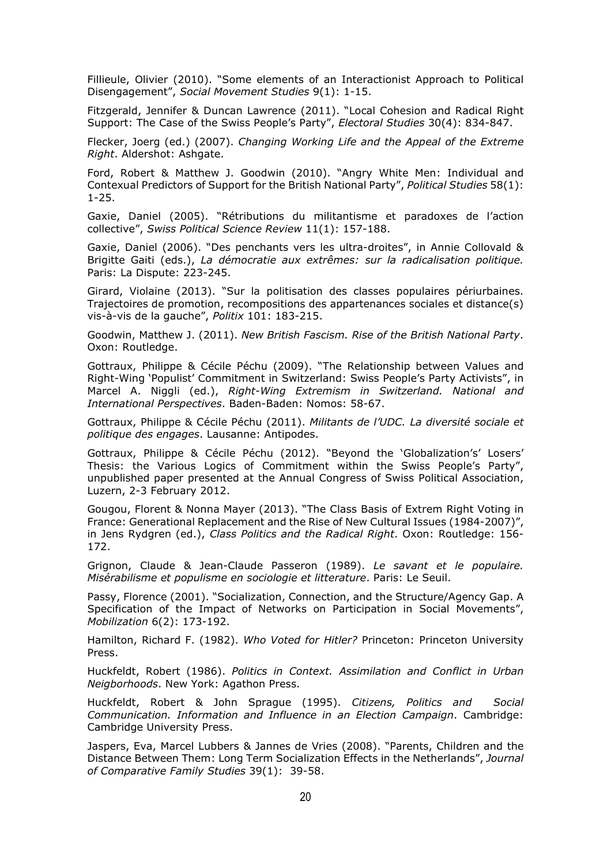Fillieule, Olivier (2010). "Some elements of an Interactionist Approach to Political Disengagement", *Social Movement Studies* 9(1): 1-15.

Fitzgerald, Jennifer & Duncan Lawrence (2011). "Local Cohesion and Radical Right Support: The Case of the Swiss People's Party", *Electoral Studies* 30(4): 834-847.

Flecker, Joerg (ed.) (2007). *Changing Working Life and the Appeal of the Extreme Right*. Aldershot: Ashgate.

Ford, Robert & Matthew J. Goodwin (2010). "Angry White Men: Individual and Contexual Predictors of Support for the British National Party", *Political Studies* 58(1): 1-25.

Gaxie, Daniel (2005). "Rétributions du militantisme et paradoxes de l'action collective", *Swiss Political Science Review* 11(1): 157-188.

Gaxie, Daniel (2006). "Des penchants vers les ultra-droites", in Annie Collovald & Brigitte Gaiti (eds.), *La démocratie aux extrêmes: sur la radicalisation politique.* Paris: La Dispute: 223-245.

Girard, Violaine (2013). "Sur la politisation des classes populaires périurbaines. Trajectoires de promotion, recompositions des appartenances sociales et distance(s) vis-à-vis de la gauche", *Politix* 101: 183-215.

Goodwin, Matthew J. (2011). *New British Fascism. Rise of the British National Party*. Oxon: Routledge.

Gottraux, Philippe & Cécile Péchu (2009). "The Relationship between Values and Right-Wing 'Populist' Commitment in Switzerland: Swiss People's Party Activists", in Marcel A. Niggli (ed.), *Right-Wing Extremism in Switzerland. National and International Perspectives*. Baden-Baden: Nomos: 58-67.

Gottraux, Philippe & Cécile Péchu (2011). *Militants de l'UDC. La diversité sociale et politique des engages*. Lausanne: Antipodes.

Gottraux, Philippe & Cécile Péchu (2012). "Beyond the 'Globalization's' Losers' Thesis: the Various Logics of Commitment within the Swiss People's Party", unpublished paper presented at the Annual Congress of Swiss Political Association, Luzern, 2-3 February 2012.

Gougou, Florent & Nonna Mayer (2013). "The Class Basis of Extrem Right Voting in France: Generational Replacement and the Rise of New Cultural Issues (1984-2007)", in Jens Rydgren (ed.), *Class Politics and the Radical Right*. Oxon: Routledge: 156- 172.

Grignon, Claude & Jean-Claude Passeron (1989). *Le savant et le populaire. Misérabilisme et populisme en sociologie et litterature*. Paris: Le Seuil.

Passy, Florence (2001). "Socialization, Connection, and the Structure/Agency Gap. A Specification of the Impact of Networks on Participation in Social Movements", *Mobilization* 6(2): 173-192.

Hamilton, Richard F. (1982). *Who Voted for Hitler?* Princeton: Princeton University Press.

Huckfeldt, Robert (1986). *Politics in Context. Assimilation and Conflict in Urban Neigborhoods*. New York: Agathon Press.

Huckfeldt, Robert & John Sprague (1995). *Citizens, Politics and Social Communication. Information and Influence in an Election Campaign*. Cambridge: Cambridge University Press.

Jaspers, Eva, Marcel Lubbers & Jannes de Vries (2008). "Parents, Children and the Distance Between Them: Long Term Socialization Effects in the Netherlands", *Journal of Comparative Family Studies* 39(1): 39-58.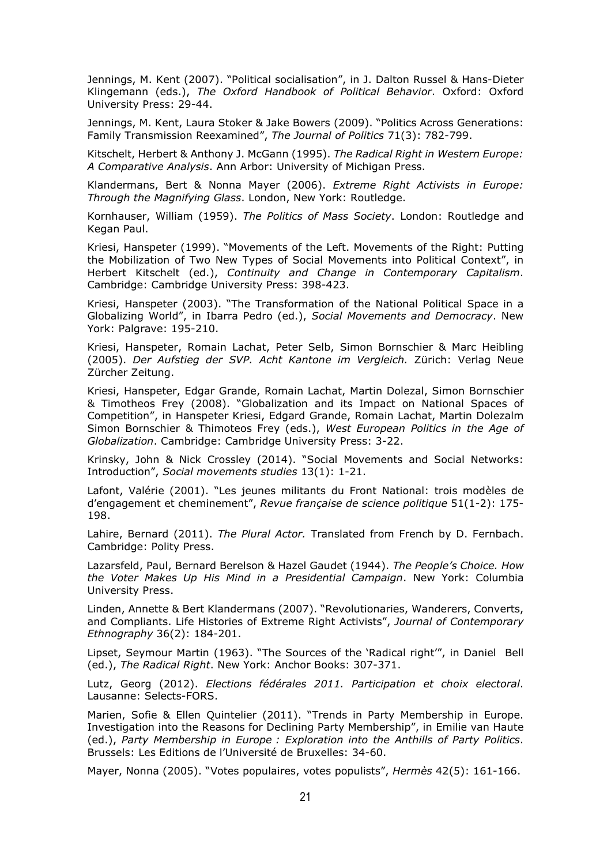Jennings, M. Kent (2007). "Political socialisation", in J. Dalton Russel & Hans-Dieter Klingemann (eds.), *The Oxford Handbook of Political Behavior*. Oxford: Oxford University Press: 29-44.

Jennings, M. Kent, Laura Stoker & Jake Bowers (2009). "Politics Across Generations: Family Transmission Reexamined", *The Journal of Politics* 71(3): 782-799.

Kitschelt, Herbert & Anthony J. McGann (1995). *The Radical Right in Western Europe: A Comparative Analysis*. Ann Arbor: University of Michigan Press.

Klandermans, Bert & Nonna Mayer (2006). *Extreme Right Activists in Europe: Through the Magnifying Glass*. London, New York: Routledge.

Kornhauser, William (1959). *The Politics of Mass Society*. London: Routledge and Kegan Paul.

Kriesi, Hanspeter (1999). "Movements of the Left. Movements of the Right: Putting the Mobilization of Two New Types of Social Movements into Political Context", in Herbert Kitschelt (ed.), *Continuity and Change in Contemporary Capitalism*. Cambridge: Cambridge University Press: 398-423.

Kriesi, Hanspeter (2003). "The Transformation of the National Political Space in a Globalizing World", in Ibarra Pedro (ed.), *Social Movements and Democracy*. New York: Palgrave: 195-210.

Kriesi, Hanspeter, Romain Lachat, Peter Selb, Simon Bornschier & Marc Heibling (2005). *Der Aufstieg der SVP. Acht Kantone im Vergleich.* Zürich: Verlag Neue Zürcher Zeitung.

Kriesi, Hanspeter, Edgar Grande, Romain Lachat, Martin Dolezal, Simon Bornschier & Timotheos Frey (2008). "Globalization and its Impact on National Spaces of Competition", in Hanspeter Kriesi, Edgard Grande, Romain Lachat, Martin Dolezalm Simon Bornschier & Thimoteos Frey (eds.), *West European Politics in the Age of Globalization*. Cambridge: Cambridge University Press: 3-22.

Krinsky, John & Nick Crossley (2014). "Social Movements and Social Networks: Introduction", *Social movements studies* 13(1): 1-21.

Lafont, Valérie (2001). "Les jeunes militants du Front National: trois modèles de d'engagement et cheminement", *Revue française de science politique* 51(1-2): 175- 198.

Lahire, Bernard (2011). *The Plural Actor.* Translated from French by D. Fernbach. Cambridge: Polity Press.

Lazarsfeld, Paul, Bernard Berelson & Hazel Gaudet (1944). *The People's Choice. How the Voter Makes Up His Mind in a Presidential Campaign*. New York: Columbia University Press.

Linden, Annette & Bert Klandermans (2007). "Revolutionaries, Wanderers, Converts, and Compliants. Life Histories of Extreme Right Activists", *Journal of Contemporary Ethnography* 36(2): 184-201.

Lipset, Seymour Martin (1963). "The Sources of the 'Radical right'", in Daniel Bell (ed.), *The Radical Right*. New York: Anchor Books: 307-371.

Lutz, Georg (2012). *Elections fédérales 2011. Participation et choix electoral*. Lausanne: Selects-FORS.

Marien, Sofie & Ellen Quintelier (2011). "Trends in Party Membership in Europe. Investigation into the Reasons for Declining Party Membership", in Emilie van Haute (ed.), *Party Membership in Europe : Exploration into the Anthills of Party Politics*. Brussels: Les Editions de l'Université de Bruxelles: 34-60.

Mayer, Nonna (2005). "Votes populaires, votes populists", *Hermès* 42(5): 161-166.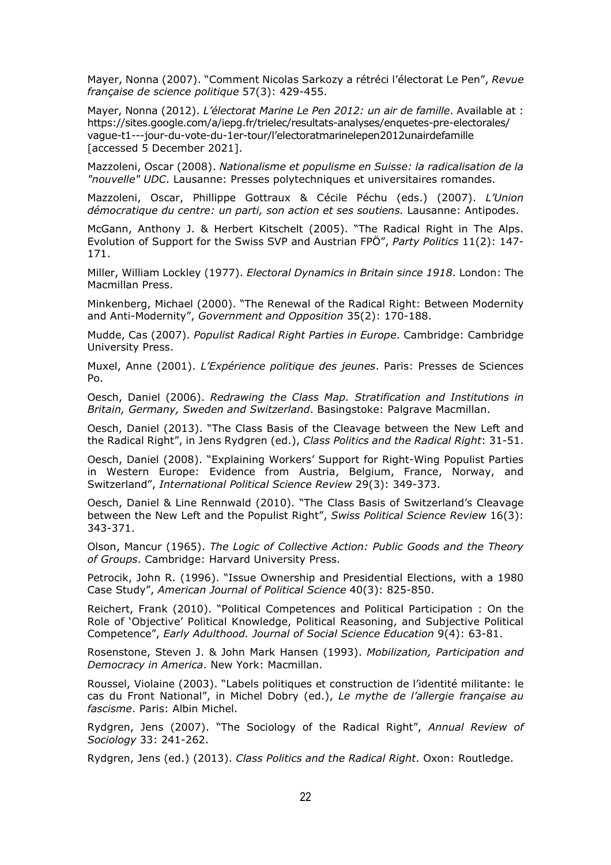Mayer, Nonna (2007). "Comment Nicolas Sarkozy a rétréci l'électorat Le Pen", *Revue française de science politique* 57(3): 429-455.

Mayer, Nonna (2012). *L'électorat Marine Le Pen 2012: un air de famille*. Available at : https://sites.google.com/a/iepg.fr/trielec/resultats-analyses/enquetes-pre-electorales/ vague-t1---jour-du-vote-du-1er-tour/l'electoratmarinelepen2012unairdefamille [accessed 5 December 2021].

Mazzoleni, Oscar (2008). *Nationalisme et populisme en Suisse: la radicalisation de la "nouvelle" UDC*. Lausanne: Presses polytechniques et universitaires romandes.

Mazzoleni, Oscar, Phillippe Gottraux & Cécile Péchu (eds.) (2007). *L'Union démocratique du centre: un parti, son action et ses soutiens.* Lausanne: Antipodes.

McGann, Anthony J. & Herbert Kitschelt (2005). "The Radical Right in The Alps. Evolution of Support for the Swiss SVP and Austrian FPÖ", *Party Politics* 11(2): 147- 171.

Miller, William Lockley (1977). *Electoral Dynamics in Britain since 1918*. London: The Macmillan Press.

Minkenberg, Michael (2000). "The Renewal of the Radical Right: Between Modernity and Anti-Modernity", *Government and Opposition* 35(2): 170-188.

Mudde, Cas (2007). *Populist Radical Right Parties in Europe*. Cambridge: Cambridge University Press.

Muxel, Anne (2001). *L'Expérience politique des jeunes*. Paris: Presses de Sciences Po.

Oesch, Daniel (2006). *Redrawing the Class Map. Stratification and Institutions in Britain, Germany, Sweden and Switzerland*. Basingstoke: Palgrave Macmillan.

Oesch, Daniel (2013). "The Class Basis of the Cleavage between the New Left and the Radical Right", in Jens Rydgren (ed.), *Class Politics and the Radical Right*: 31-51.

Oesch, Daniel (2008). "Explaining Workers' Support for Right-Wing Populist Parties in Western Europe: Evidence from Austria, Belgium, France, Norway, and Switzerland", *International Political Science Review* 29(3): 349-373.

Oesch, Daniel & Line Rennwald (2010). "The Class Basis of Switzerland's Cleavage between the New Left and the Populist Right", *Swiss Political Science Review* 16(3): 343-371.

Olson, Mancur (1965). *The Logic of Collective Action: Public Goods and the Theory of Groups*. Cambridge: Harvard University Press.

Petrocik, John R. (1996). "Issue Ownership and Presidential Elections, with a 1980 Case Study", *American Journal of Political Science* 40(3): 825-850.

Reichert, Frank (2010). "Political Competences and Political Participation : On the Role of 'Objective' Political Knowledge, Political Reasoning, and Subjective Political Competence", *Early Adulthood. Journal of Social Science Education* 9(4): 63-81.

Rosenstone, Steven J. & John Mark Hansen (1993). *Mobilization, Participation and Democracy in America*. New York: Macmillan.

Roussel, Violaine (2003). "Labels politiques et construction de l'identité militante: le cas du Front National", in Michel Dobry (ed.), *Le mythe de l'allergie française au fascisme*. Paris: Albin Michel.

Rydgren, Jens (2007). "The Sociology of the Radical Right", *Annual Review of Sociology* 33: 241-262.

Rydgren, Jens (ed.) (2013). *Class Politics and the Radical Right*. Oxon: Routledge.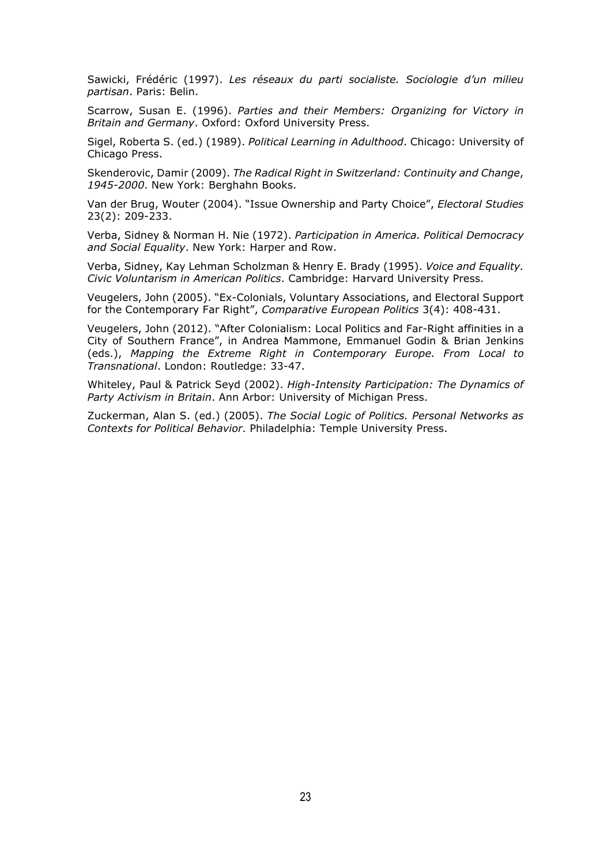Sawicki, Frédéric (1997). *Les réseaux du parti socialiste. Sociologie d'un milieu partisan*. Paris: Belin.

Scarrow, Susan E. (1996). *Parties and their Members: Organizing for Victory in Britain and Germany*. Oxford: Oxford University Press.

Sigel, Roberta S. (ed.) (1989). *Political Learning in Adulthood*. Chicago: University of Chicago Press.

Skenderovic, Damir (2009). *The Radical Right in Switzerland: Continuity and Change*, *1945-2000*. New York: Berghahn Books.

Van der Brug, Wouter (2004). "Issue Ownership and Party Choice", *Electoral Studies* 23(2): 209-233.

Verba, Sidney & Norman H. Nie (1972). *Participation in America. Political Democracy and Social Equality*. New York: Harper and Row.

Verba, Sidney, Kay Lehman Scholzman & Henry E. Brady (1995). *Voice and Equality. Civic Voluntarism in American Politics*. Cambridge: Harvard University Press.

Veugelers, John (2005). "Ex-Colonials, Voluntary Associations, and Electoral Support for the Contemporary Far Right", *Comparative European Politics* 3(4): 408-431.

Veugelers, John (2012). "After Colonialism: Local Politics and Far-Right affinities in a City of Southern France", in Andrea Mammone, Emmanuel Godin & Brian Jenkins (eds.), *Mapping the Extreme Right in Contemporary Europe. From Local to Transnational*. London: Routledge: 33-47.

Whiteley, Paul & Patrick Seyd (2002). *High-Intensity Participation: The Dynamics of Party Activism in Britain*. Ann Arbor: University of Michigan Press.

Zuckerman, Alan S. (ed.) (2005). *The Social Logic of Politics. Personal Networks as Contexts for Political Behavior*. Philadelphia: Temple University Press.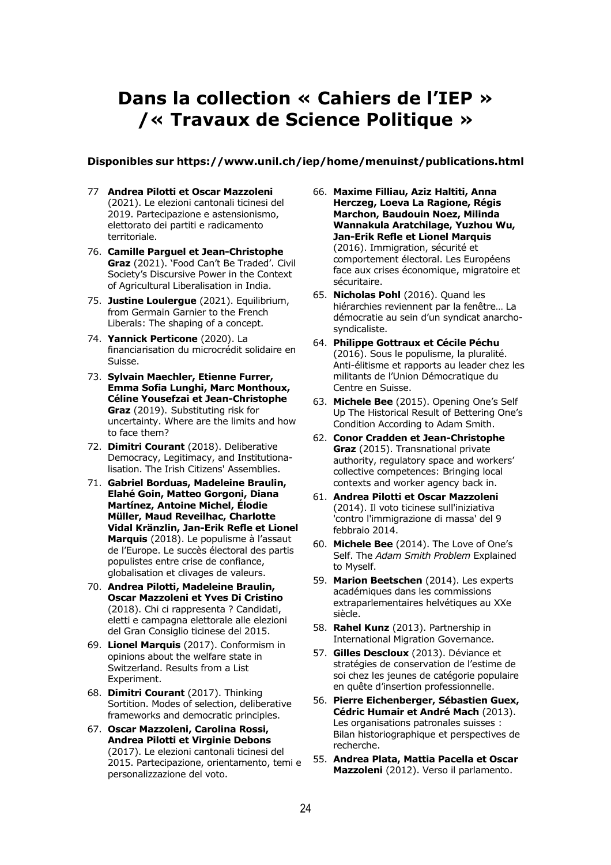# **Dans la collection « Cahiers de l'IEP » /« Travaux de Science Politique »**

#### **Disponibles sur https://www.unil.ch/iep/home/menuinst/publications.html**

- 77 **Andrea Pilotti et Oscar Mazzoleni** (2021). Le elezioni cantonali ticinesi del 2019. Partecipazione e astensionismo, elettorato dei partiti e radicamento territoriale.
- 76. **Camille Parguel et Jean-Christophe Graz** (2021). 'Food Can't Be Traded'. Civil Society's Discursive Power in the Context of Agricultural Liberalisation in India.
- 75. **Justine Loulergue** (2021). Equilibrium, from Germain Garnier to the French Liberals: The shaping of a concept.
- 74. **Yannick Perticone** (2020). La financiarisation du microcrédit solidaire en Suisse.
- 73. **Sylvain Maechler, Etienne Furrer, Emma Sofia Lunghi, Marc Monthoux, Céline Yousefzai et Jean-Christophe Graz** (2019). Substituting risk for uncertainty. Where are the limits and how to face them?
- 72. **Dimitri Courant** (2018). Deliberative Democracy, Legitimacy, and Institutionalisation. The Irish Citizens' Assemblies.
- 71. **Gabriel Borduas, Madeleine Braulin, Elahé Goin, Matteo Gorgoni, Diana Martínez, Antoine Michel, Élodie Müller, Maud Reveilhac, Charlotte Vidal Kränzlin, Jan-Erik Refle et Lionel Marquis** (2018). Le populisme à l'assaut de l'Europe. Le succès électoral des partis populistes entre crise de confiance, globalisation et clivages de valeurs.
- 70. **Andrea Pilotti, Madeleine Braulin, Oscar Mazzoleni et Yves Di Cristino** (2018). Chi ci rappresenta ? Candidati, eletti e campagna elettorale alle elezioni del Gran Consiglio ticinese del 2015.
- 69. **Lionel Marquis** (2017). Conformism in opinions about the welfare state in Switzerland. Results from a List Experiment.
- 68. **Dimitri Courant** (2017). Thinking Sortition. Modes of selection, deliberative frameworks and democratic principles.
- 67. **Oscar Mazzoleni, Carolina Rossi, Andrea Pilotti et Virginie Debons** (2017). Le elezioni cantonali ticinesi del 2015. Partecipazione, orientamento, temi e personalizzazione del voto.
- 66. **Maxime Filliau, Aziz Haltiti, Anna Herczeg, Loeva La Ragione, Régis Marchon, Baudouin Noez, Milinda Wannakula Aratchilage, Yuzhou Wu, Jan-Erik Refle et Lionel Marquis**  (2016). Immigration, sécurité et comportement électoral. Les Européens face aux crises économique, migratoire et sécuritaire.
- 65. **Nicholas Pohl** (2016). Quand les hiérarchies reviennent par la fenêtre… La démocratie au sein d'un syndicat anarchosyndicaliste.
- 64. **Philippe Gottraux et Cécile Péchu** (2016). Sous le populisme, la pluralité. Anti-élitisme et rapports au leader chez les militants de l'Union Démocratique du Centre en Suisse.
- 63. **Michele Bee** (2015). Opening One's Self Up The Historical Result of Bettering One's Condition According to Adam Smith.
- 62. **Conor Cradden et Jean-Christophe Graz** (2015). Transnational private authority, regulatory space and workers' collective competences: Bringing local contexts and worker agency back in.
- 61. **Andrea Pilotti et Oscar Mazzoleni** (2014). Il voto ticinese sull'iniziativa 'contro l'immigrazione di massa' del 9 febbraio 2014.
- 60. **Michele Bee** (2014). The Love of One's Self. The *Adam Smith Problem* Explained to Myself.
- 59. **Marion Beetschen** (2014). Les experts académiques dans les commissions extraparlementaires helvétiques au XXe siècle.
- 58. **Rahel Kunz** (2013). Partnership in International Migration Governance.
- 57. **Gilles Descloux** (2013). Déviance et stratégies de conservation de l'estime de soi chez les jeunes de catégorie populaire en quête d'insertion professionnelle.
- 56. **Pierre Eichenberger, Sébastien Guex, Cédric Humair et André Mach** (2013). Les organisations patronales suisses : Bilan historiographique et perspectives de recherche.
- 55. **Andrea Plata, Mattia Pacella et Oscar Mazzoleni** (2012). Verso il parlamento.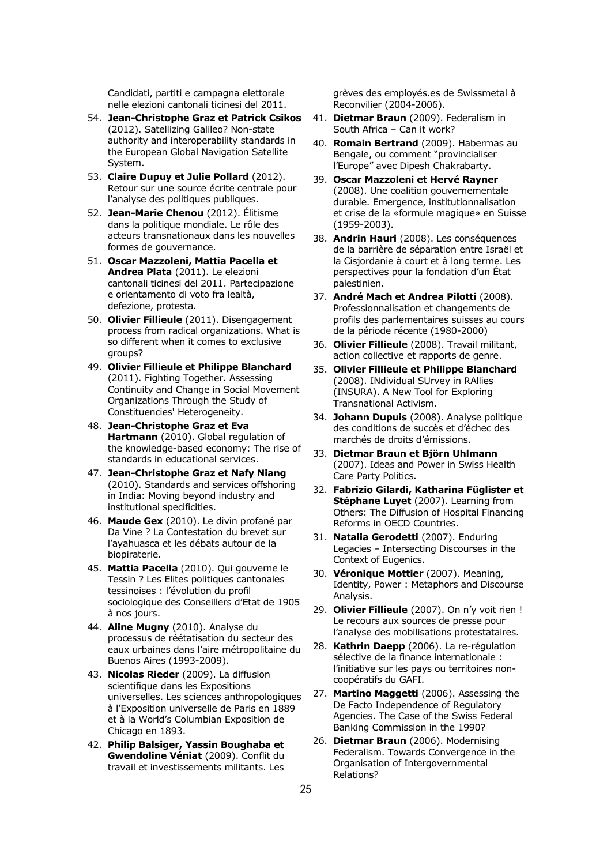Candidati, partiti e campagna elettorale nelle elezioni cantonali ticinesi del 2011.

- 54. **Jean-Christophe Graz et Patrick Csikos** (2012). Satellizing Galileo? Non-state authority and interoperability standards in the European Global Navigation Satellite System.
- 53. **Claire Dupuy et Julie Pollard** (2012). Retour sur une source écrite centrale pour l'analyse des politiques publiques.
- 52. **Jean-Marie Chenou** (2012). Élitisme dans la politique mondiale. Le rôle des acteurs transnationaux dans les nouvelles formes de gouvernance.
- 51. **Oscar Mazzoleni, Mattia Pacella et Andrea Plata** (2011). Le elezioni cantonali ticinesi del 2011. Partecipazione e orientamento di voto fra lealtà, defezione, protesta.
- 50. **Olivier Fillieule** (2011). Disengagement process from radical organizations. What is so different when it comes to exclusive groups?
- 49. **Olivier Fillieule et Philippe Blanchard** (2011). Fighting Together. Assessing Continuity and Change in Social Movement Organizations Through the Study of Constituencies' Heterogeneity.
- 48. **Jean-Christophe Graz et Eva Hartmann** (2010). Global regulation of the knowledge-based economy: The rise of standards in educational services.
- 47. **Jean-Christophe Graz et Nafy Niang** (2010). Standards and services offshoring in India: Moving beyond industry and institutional specificities.
- 46. **Maude Gex** (2010). Le divin profané par Da Vine ? La Contestation du brevet sur l'ayahuasca et les débats autour de la biopiraterie.
- 45. **Mattia Pacella** (2010). Qui gouverne le Tessin ? Les Elites politiques cantonales tessinoises : l'évolution du profil sociologique des Conseillers d'Etat de 1905 à nos jours.
- 44. **Aline Mugny** (2010). Analyse du processus de réétatisation du secteur des eaux urbaines dans l'aire métropolitaine du Buenos Aires (1993-2009).
- 43. **Nicolas Rieder** (2009). La diffusion scientifique dans les Expositions universelles. Les sciences anthropologiques à l'Exposition universelle de Paris en 1889 et à la World's Columbian Exposition de Chicago en 1893.
- 42. **Philip Balsiger, Yassin Boughaba et Gwendoline Véniat** (2009). Conflit du travail et investissements militants. Les

grèves des employés.es de Swissmetal à Reconvilier (2004-2006).

- 41. **Dietmar Braun** (2009). Federalism in South Africa – Can it work?
- 40. **Romain Bertrand** (2009). Habermas au Bengale, ou comment "provincialiser l'Europe" avec Dipesh Chakrabarty.
- 39. **Oscar Mazzoleni et Hervé Rayner** (2008). Une coalition gouvernementale durable. Emergence, institutionnalisation et crise de la «formule magique» en Suisse (1959-2003).
- 38. **Andrin Hauri** (2008). Les conséquences de la barrière de séparation entre Israël et la Cisjordanie à court et à long terme. Les perspectives pour la fondation d'un État palestinien.
- 37. **André Mach et Andrea Pilotti** (2008). Professionnalisation et changements de profils des parlementaires suisses au cours de la période récente (1980-2000)
- 36. **Olivier Fillieule** (2008). Travail militant, action collective et rapports de genre.
- 35. **Olivier Fillieule et Philippe Blanchard** (2008). INdividual SUrvey in RAllies (INSURA). A New Tool for Exploring Transnational Activism.
- 34. **Johann Dupuis** (2008). Analyse politique des conditions de succès et d'échec des marchés de droits d'émissions.
- 33. **Dietmar Braun et Björn Uhlmann** (2007). Ideas and Power in Swiss Health Care Party Politics.
- 32. **Fabrizio Gilardi, Katharina Füglister et Stéphane Luyet** (2007). Learning from Others: The Diffusion of Hospital Financing Reforms in OECD Countries.
- 31. **Natalia Gerodetti** (2007). Enduring Legacies – Intersecting Discourses in the Context of Eugenics.
- 30. **Véronique Mottier** (2007). Meaning, Identity, Power : Metaphors and Discourse Analysis.
- 29. **Olivier Fillieule** (2007). On n'y voit rien ! Le recours aux sources de presse pour l'analyse des mobilisations protestataires.
- 28. **Kathrin Daepp** (2006). La re-régulation sélective de la finance internationale : l'initiative sur les pays ou territoires noncoopératifs du GAFI.
- 27. **Martino Maggetti** (2006). Assessing the De Facto Independence of Regulatory Agencies. The Case of the Swiss Federal Banking Commission in the 1990?
- 26. **Dietmar Braun** (2006). Modernising Federalism. Towards Convergence in the Organisation of Intergovernmental Relations?